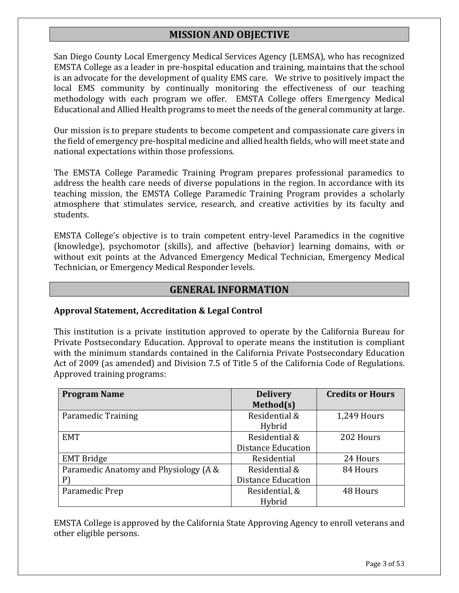## **MISSION AND OBJECTIVE**

San Diego County Local Emergency Medical Services Agency (LEMSA), who has recognized EMSTA College as a leader in pre-hospital education and training, maintains that the school is an advocate for the development of quality EMS care. We strive to positively impact the local EMS community by continually monitoring the effectiveness of our teaching methodology with each program we offer. EMSTA College offers Emergency Medical Educational and Allied Health programs to meet the needs of the general community at large.

Our mission is to prepare students to become competent and compassionate care givers in the field of emergency pre-hospital medicine and allied health fields, who will meet state and national expectations within those professions.

The EMSTA College Paramedic Training Program prepares professional paramedics to address the health care needs of diverse populations in the region. In accordance with its teaching mission, the EMSTA College Paramedic Training Program provides a scholarly atmosphere that stimulates service, research, and creative activities by its faculty and students.

EMSTA College's objective is to train competent entry-level Paramedics in the cognitive (knowledge), psychomotor (skills), and affective (behavior) learning domains, with or without exit points at the Advanced Emergency Medical Technician, Emergency Medical Technician, or Emergency Medical Responder levels.

## **GENERAL INFORMATION**

## **Approval Statement, Accreditation & Legal Control**

This institution is a private institution approved to operate by the California Bureau for Private Postsecondary Education. Approval to operate means the institution is compliant with the minimum standards contained in the California Private Postsecondary Education Act of 2009 (as amended) and Division 7.5 of Title 5 of the California Code of Regulations. Approved training programs:

| <b>Program Name</b>                   | <b>Delivery</b>           | <b>Credits or Hours</b> |
|---------------------------------------|---------------------------|-------------------------|
|                                       | Method(s)                 |                         |
| Paramedic Training                    | Residential &             | 1,249 Hours             |
|                                       | Hybrid                    |                         |
| <b>EMT</b>                            | Residential &             | 202 Hours               |
|                                       | <b>Distance Education</b> |                         |
| <b>EMT Bridge</b>                     | Residential               | 24 Hours                |
| Paramedic Anatomy and Physiology (A & | Residential &             | 84 Hours                |
| P                                     | <b>Distance Education</b> |                         |
| Paramedic Prep                        | Residential, &            | 48 Hours                |
|                                       | Hybrid                    |                         |

EMSTA College is approved by the California State Approving Agency to enroll veterans and other eligible persons.

7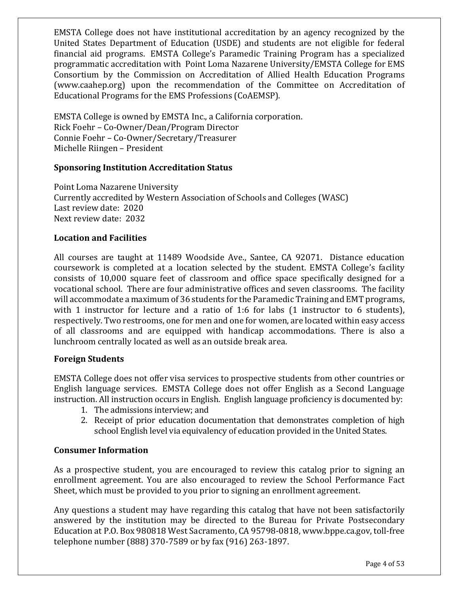EMSTA College does not have institutional accreditation by an agency recognized by the United States Department of Education (USDE) and students are not eligible for federal financial aid programs. EMSTA College's Paramedic Training Program has a specialized programmatic accreditation with Point Loma Nazarene University/EMSTA College for EMS Consortium by the Commission on Accreditation of Allied Health Education Programs (www.caahep.org) upon the recommendation of the Committee on Accreditation of Educational Programs for the EMS Professions (CoAEMSP).

EMSTA College is owned by EMSTA Inc., a California corporation. Rick Foehr – Co-Owner/Dean/Program Director Connie Foehr – Co-Owner/Secretary/Treasurer Michelle Riingen – President

## **Sponsoring Institution Accreditation Status**

Point Loma Nazarene University Currently accredited by Western Association of Schools and Colleges (WASC) Last review date: 2020 Next review date: 2032

## **Location and Facilities**

All courses are taught at 11489 Woodside Ave., Santee, CA 92071. Distance education coursework is completed at a location selected by the student. EMSTA College's facility consists of 10,000 square feet of classroom and office space specifically designed for a vocational school. There are four administrative offices and seven classrooms. The facility will accommodate a maximum of 36 students for the Paramedic Training and EMT programs, with 1 instructor for lecture and a ratio of 1:6 for labs (1 instructor to 6 students), respectively. Two restrooms, one for men and one for women, are located within easy access of all classrooms and are equipped with handicap accommodations. There is also a lunchroom centrally located as well as an outside break area. 5 11

## **Foreign Students**

EMSTA College does not offer visa services to prospective students from other countries or English language services. EMSTA College does not offer English as a Second Language instruction. All instruction occurs in English. English language proficiency is documented by:

- 1. The admissions interview; and
- 2. Receipt of prior education documentation that demonstrates completion of high school English level via equivalency of education provided in the United States.

#### **Consumer Information**

As a prospective student, you are encouraged to review this catalog prior to signing an enrollment agreement. You are also encouraged to review the School Performance Fact Sheet, which must be provided to you prior to signing an enrollment agreement. 9

13 Any questions a student may have regarding this catalog that have not been satisfactorily answered by the institution may be directed to the Bureau for Private Postsecondary Education at P.O. Box 980818 West Sacramento, CA 95798-0818, www.bppe.ca.gov, toll-free telephone number (888) 370-7589 or by fax (916) 263-1897.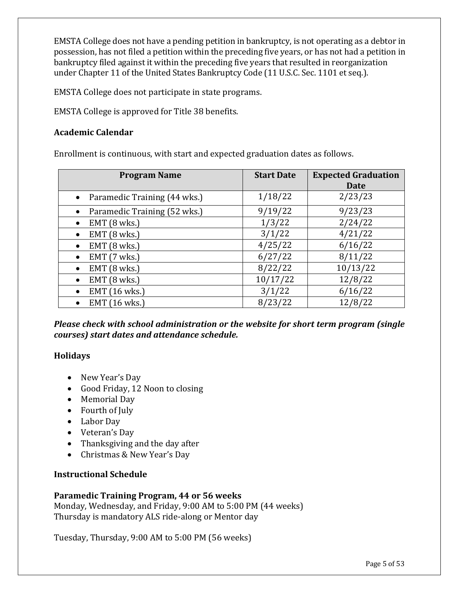EMSTA College does not have a pending petition in bankruptcy, is not operating as a debtor in possession, has not filed a petition within the preceding five years, or has not had a petition in bankruptcy filed against it within the preceding five years that resulted in reorganization under Chapter 11 of the United States Bankruptcy Code (11 U.S.C. Sec. 1101 et seq.).

EMSTA College does not participate in state programs.

EMSTA College is approved for Title 38 benefits.

## **Academic Calendar**

8

Enrollment is continuous, with start and expected graduation dates as follows.

| <b>Program Name</b>          | <b>Start Date</b> | <b>Expected Graduation</b><br><b>Date</b> |
|------------------------------|-------------------|-------------------------------------------|
| Paramedic Training (44 wks.) | 1/18/22           | 2/23/23                                   |
| Paramedic Training (52 wks.) | 9/19/22           | 9/23/23                                   |
| $EMT(8$ wks.)<br>$\bullet$   | 1/3/22            | 2/24/22                                   |
| $EMT(8$ wks.)<br>٠           | 3/1/22            | 4/21/22                                   |
| $EMT(8$ wks.)<br>$\bullet$   | 4/25/22           | 6/16/22                                   |
| $EMT(7$ wks.)<br>٠           | 6/27/22           | 8/11/22                                   |
| $EMT(8$ wks.)<br>$\bullet$   | 8/22/22           | 10/13/22                                  |
| $EMT(8$ wks.)<br>$\bullet$   | 10/17/22          | 12/8/22                                   |
| EMT (16 wks.)<br>٠           | 3/1/22            | 6/16/22                                   |
| EMT (16 wks.)                | 8/23/22           | 12/8/22                                   |

*Please check with school administration or the website for short term program (single courses) start dates and attendance schedule.*

## **Holidays**

- New Year's Day
- Good Friday, 12 Noon to closing
- Memorial Day
- Fourth of July
- Labor Day
- Veteran's Day
- Thanksgiving and the day after
- Christmas & New Year's Day

## **Instructional Schedule**

## **Paramedic Training Program, 44 or 56 weeks**

Monday, Wednesday, and Friday, 9:00 AM to 5:00 PM (44 weeks) Thursday is mandatory ALS ride-along or Mentor day

Tuesday, Thursday, 9:00 AM to 5:00 PM (56 weeks)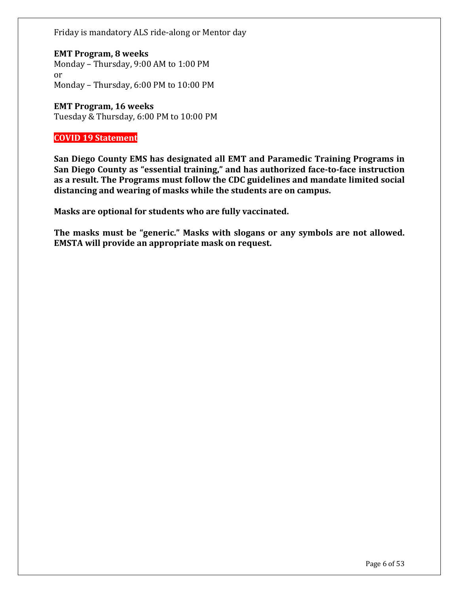Friday is mandatory ALS ride-along or Mentor day

**EMT Program, 8 weeks** Monday – Thursday, 9:00 AM to 1:00 PM or Monday – Thursday, 6:00 PM to 10:00 PM

**EMT Program, 16 weeks** Tuesday & Thursday, 6:00 PM to 10:00 PM

#### **COVID 19 Statement**

**San Diego County EMS has designated all EMT and Paramedic Training Programs in San Diego County as "essential training," and has authorized face‐to‐face instruction as a result. The Programs must follow the CDC guidelines and mandate limited social distancing and wearing of masks while the students are on campus.**

**Masks are optional for students who are fully vaccinated.**

**The masks must be "generic." Masks with slogans or any symbols are not allowed. EMSTA will provide an appropriate mask on request.**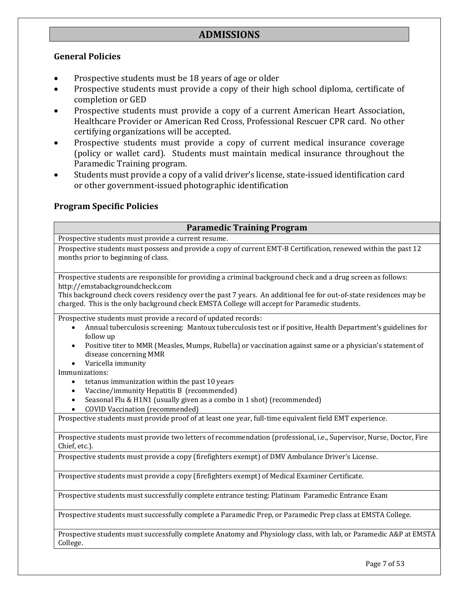## **ADMISSIONS**

#### **General Policies**

- Prospective students must be 18 years of age or older
- Prospective students must provide a copy of their high school diploma, certificate of completion or GED
- Prospective students must provide a copy of a current American Heart Association, Healthcare Provider or American Red Cross, Professional Rescuer CPR card. No other certifying organizations will be accepted.
- Prospective students must provide a copy of current medical insurance coverage (policy or wallet card). Students must maintain medical insurance throughout the Paramedic Training program.
- Students must provide a copy of a valid driver's license, state-issued identification card or other government-issued photographic identification

## **Program Specific Policies**

| <b>Paramedic Training Program</b>                                                                                                                                                                                                                                                                                                                                     |
|-----------------------------------------------------------------------------------------------------------------------------------------------------------------------------------------------------------------------------------------------------------------------------------------------------------------------------------------------------------------------|
| Prospective students must provide a current resume.                                                                                                                                                                                                                                                                                                                   |
| Prospective students must possess and provide a copy of current EMT-B Certification, renewed within the past 12<br>months prior to beginning of class.                                                                                                                                                                                                                |
| Prospective students are responsible for providing a criminal background check and a drug screen as follows:<br>http://emstabackgroundcheck.com<br>This background check covers residency over the past 7 years. An additional fee for out-of-state residences may be<br>charged. This is the only background check EMSTA College will accept for Paramedic students. |
| Prospective students must provide a record of updated records:<br>Annual tuberculosis screening: Mantoux tuberculosis test or if positive, Health Department's guidelines for<br>follow up<br>Positive titer to MMR (Measles, Mumps, Rubella) or vaccination against same or a physician's statement of<br>disease concerning MMR                                     |
| Varicella immunity<br>Immunizations:<br>tetanus immunization within the past 10 years<br>Vaccine/immunity Hepatitis B (recommended)<br>$\bullet$<br>Seasonal Flu & H1N1 (usually given as a combo in 1 shot) (recommended)<br><b>COVID Vaccination (recommended)</b>                                                                                                  |
| Prospective students must provide proof of at least one year, full-time equivalent field EMT experience.                                                                                                                                                                                                                                                              |
| Prospective students must provide two letters of recommendation (professional, i.e., Supervisor, Nurse, Doctor, Fire<br>Chief, etc.).                                                                                                                                                                                                                                 |
| Prospective students must provide a copy (firefighters exempt) of DMV Ambulance Driver's License.                                                                                                                                                                                                                                                                     |
| Prospective students must provide a copy (firefighters exempt) of Medical Examiner Certificate.                                                                                                                                                                                                                                                                       |
| Prospective students must successfully complete entrance testing: Platinum Paramedic Entrance Exam                                                                                                                                                                                                                                                                    |
| Prospective students must successfully complete a Paramedic Prep, or Paramedic Prep class at EMSTA College.                                                                                                                                                                                                                                                           |
| <u>Drocnoctive ctudents must successfully complete Anatomy and Dhysiology class with lab or Daramedic ARD at EMSTA</u>                                                                                                                                                                                                                                                |

Prospective students must successfully complete Anatomy and Physiology class, with lab, or Paramedic A&P at EMSTA College.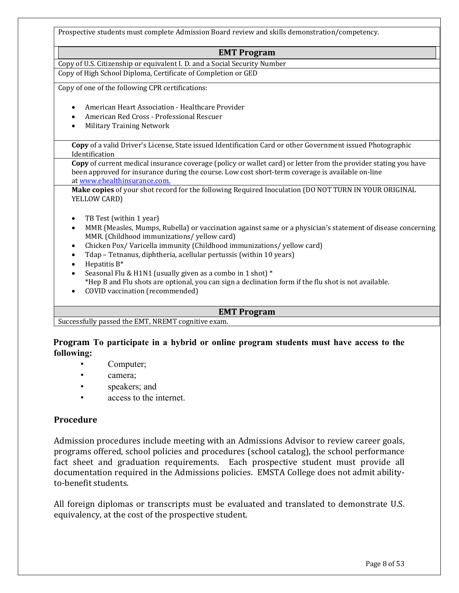Prospective students must complete Admission Board review and skills demonstration/competency.

#### **EMT Program**

Copy of U.S. Citizenship or equivalent I. D. and a Social Security Number Copy of High School Diploma, Certificate of Completion or GED

Copy of one of the following CPR certifications:

- American Heart Association Healthcare Provider
- American Red Cross Professional Rescuer
- Military Training Network

**Copy** of a valid Driver's License, State issued Identification Card or other Government issued Photographic Identification

**Copy** of current medical insurance coverage (policy or wallet card) or letter from the provider stating you have been approved for insurance during the course. Low cost short-term coverage is available on-line at www.ehealthinsurance.com.

**Make copies** of your shot record for the following Required Inoculation (DO NOT TURN IN YOUR ORIGINAL YELLOW CARD)

- TB Test (within 1 year)
- MMR (Measles, Mumps, Rubella) or vaccination against same or a physician's statement of disease concerning MMR. (Childhood immunizations/ yellow card)
- Chicken Pox/ Varicella immunity (Childhood immunizations/ yellow card)
- Tdap Tetnanus, diphtheria, acellular pertussis (within 10 years)
- Hepatitis B\*
- Seasonal Flu & H1N1 (usually given as a combo in 1 shot) \* \*Hep B and Flu shots are optional, you can sign a declination form if the flu shot is not available.
- COVID vaccination (recommended)

#### **EMT Program**

Successfully passed the EMT, NREMT cognitive exam.

#### **Program To participate in a hybrid or online program students must have access to the following:**

- Computer;
- camera;
- speakers; and
- access to the internet.

#### **Procedure**

Admission procedures include meeting with an Admissions Advisor to review career goals, programs offered, school policies and procedures (school catalog), the school performance fact sheet and graduation requirements. Each prospective student must provide all documentation required in the Admissions policies. EMSTA College does not admit abilityto-benefit students.

All foreign diplomas or transcripts must be evaluated and translated to demonstrate U.S. equivalency, at the cost of the prospective student.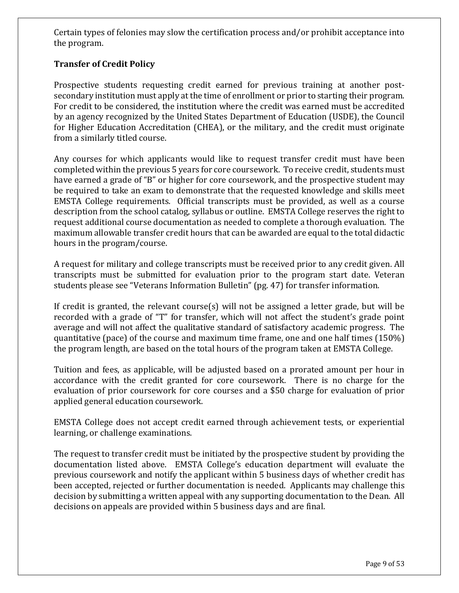Certain types of felonies may slow the certification process and/or prohibit acceptance into the program.

## **Transfer of Credit Policy**

Prospective students requesting credit earned for previous training at another postsecondary institution must apply at the time of enrollment or prior to starting their program. For credit to be considered, the institution where the credit was earned must be accredited by an agency recognized by the United States Department of Education (USDE), the Council for Higher Education Accreditation (CHEA), or the military, and the credit must originate from a similarly titled course.

Any courses for which applicants would like to request transfer credit must have been completed within the previous 5 years for core coursework. To receive credit, students must have earned a grade of "B" or higher for core coursework, and the prospective student may be required to take an exam to demonstrate that the requested knowledge and skills meet EMSTA College requirements. Official transcripts must be provided, as well as a course description from the school catalog, syllabus or outline. EMSTA College reserves the right to request additional course documentation as needed to complete a thorough evaluation. The maximum allowable transfer credit hours that can be awarded are equal to the total didactic hours in the program/course.

A request for military and college transcripts must be received prior to any credit given. All transcripts must be submitted for evaluation prior to the program start date. Veteran students please see "Veterans Information Bulletin" (pg. 47) for transfer information.

If credit is granted, the relevant course(s) will not be assigned a letter grade, but will be recorded with a grade of "T" for transfer, which will not affect the student's grade point average and will not affect the qualitative standard of satisfactory academic progress. The quantitative (pace) of the course and maximum time frame, one and one half times (150%) the program length, are based on the total hours of the program taken at EMSTA College.

Tuition and fees, as applicable, will be adjusted based on a prorated amount per hour in accordance with the credit granted for core coursework. There is no charge for the evaluation of prior coursework for core courses and a \$50 charge for evaluation of prior applied general education coursework.

EMSTA College does not accept credit earned through achievement tests, or experiential learning, or challenge examinations.

The request to transfer credit must be initiated by the prospective student by providing the documentation listed above. EMSTA College's education department will evaluate the previous coursework and notify the applicant within 5 business days of whether credit has been accepted, rejected or further documentation is needed. Applicants may challenge this decision by submitting a written appeal with any supporting documentation to the Dean. All decisions on appeals are provided within 5 business days and are final.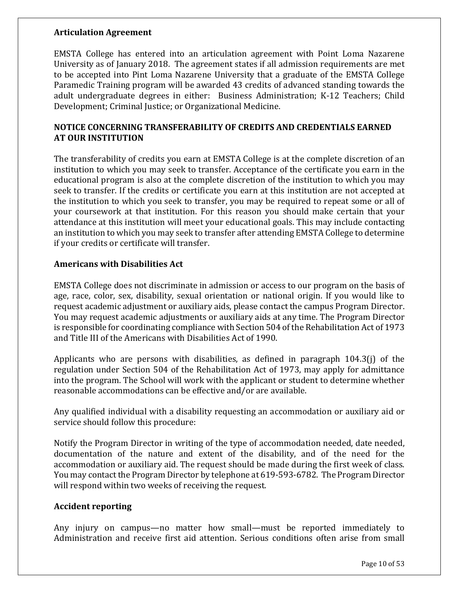#### **Articulation Agreement**

EMSTA College has entered into an articulation agreement with Point Loma Nazarene University as of January 2018. The agreement states if all admission requirements are met to be accepted into Pint Loma Nazarene University that a graduate of the EMSTA College Paramedic Training program will be awarded 43 credits of advanced standing towards the adult undergraduate degrees in either: Business Administration; K-12 Teachers; Child Development; Criminal Justice; or Organizational Medicine.

#### **NOTICE CONCERNING TRANSFERABILITY OF CREDITS AND CREDENTIALS EARNED AT OUR INSTITUTION**

The transferability of credits you earn at EMSTA College is at the complete discretion of an institution to which you may seek to transfer. Acceptance of the certificate you earn in the educational program is also at the complete discretion of the institution to which you may seek to transfer. If the credits or certificate you earn at this institution are not accepted at the institution to which you seek to transfer, you may be required to repeat some or all of your coursework at that institution. For this reason you should make certain that your attendance at this institution will meet your educational goals. This may include contacting an institution to which you may seek to transfer after attending EMSTA College to determine if your credits or certificate will transfer.

#### **Americans with Disabilities Act**

EMSTA College does not discriminate in admission or access to our program on the basis of age, race, color, sex, disability, sexual orientation or national origin. If you would like to request academic adjustment or auxiliary aids, please contact the campus Program Director. You may request academic adjustments or auxiliary aids at any time. The Program Director is responsible for coordinating compliance with Section 504 of the Rehabilitation Act of 1973 and Title III of the Americans with Disabilities Act of 1990.

Applicants who are persons with disabilities, as defined in paragraph 104.3(j) of the regulation under Section 504 of the Rehabilitation Act of 1973, may apply for admittance into the program. The School will work with the applicant or student to determine whether reasonable accommodations can be effective and/or are available.

Any qualified individual with a disability requesting an accommodation or auxiliary aid or service should follow this procedure:

Notify the Program Director in writing of the type of accommodation needed, date needed, documentation of the nature and extent of the disability, and of the need for the accommodation or auxiliary aid. The request should be made during the first week of class. You may contact the Program Director by telephone at 619-593-6782. The Program Director will respond within two weeks of receiving the request.

## **Accident reporting**

Any injury on campus—no matter how small—must be reported immediately to Administration and receive first aid attention. Serious conditions often arise from small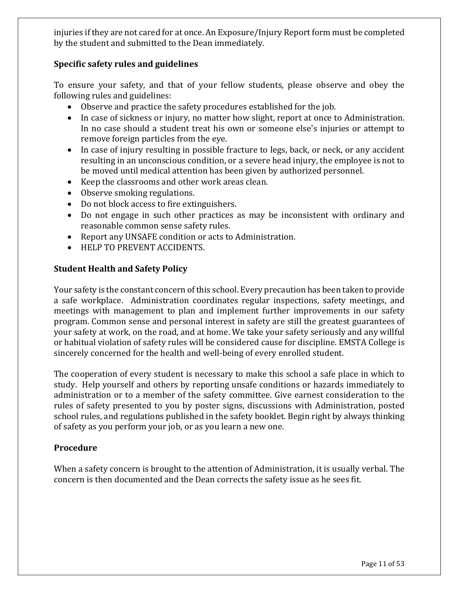injuries if they are not cared for at once. An Exposure/Injury Report form must be completed by the student and submitted to the Dean immediately.

#### **Specific safety rules and guidelines**

To ensure your safety, and that of your fellow students, please observe and obey the following rules and guidelines:

- Observe and practice the safety procedures established for the job.
- In case of sickness or injury, no matter how slight, report at once to Administration. In no case should a student treat his own or someone else's injuries or attempt to remove foreign particles from the eye.
- In case of injury resulting in possible fracture to legs, back, or neck, or any accident resulting in an unconscious condition, or a severe head injury, the employee is not to be moved until medical attention has been given by authorized personnel.
- Keep the classrooms and other work areas clean.
- Observe smoking regulations.
- Do not block access to fire extinguishers.
- Do not engage in such other practices as may be inconsistent with ordinary and reasonable common sense safety rules.
- Report any UNSAFE condition or acts to Administration.
- **HELP TO PREVENT ACCIDENTS.**

#### **Student Health and Safety Policy**

Your safety is the constant concern of this school. Every precaution has been taken to provide a safe workplace. Administration coordinates regular inspections, safety meetings, and meetings with management to plan and implement further improvements in our safety program. Common sense and personal interest in safety are still the greatest guarantees of your safety at work, on the road, and at home. We take your safety seriously and any willful or habitual violation of safety rules will be considered cause for discipline. EMSTA College is sincerely concerned for the health and well-being of every enrolled student.

The cooperation of every student is necessary to make this school a safe place in which to study. Help yourself and others by reporting unsafe conditions or hazards immediately to administration or to a member of the safety committee. Give earnest consideration to the rules of safety presented to you by poster signs, discussions with Administration, posted school rules, and regulations published in the safety booklet. Begin right by always thinking of safety as you perform your job, or as you learn a new one.

#### **Procedure**

When a safety concern is brought to the attention of Administration, it is usually verbal. The concern is then documented and the Dean corrects the safety issue as he sees fit.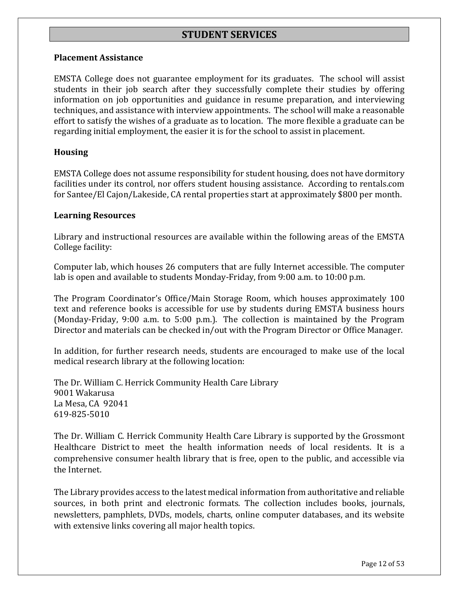## **STUDENT SERVICES**

#### **Placement Assistance**

EMSTA College does not guarantee employment for its graduates. The school will assist students in their job search after they successfully complete their studies by offering information on job opportunities and guidance in resume preparation, and interviewing techniques, and assistance with interview appointments. The school will make a reasonable effort to satisfy the wishes of a graduate as to location. The more flexible a graduate can be regarding initial employment, the easier it is for the school to assist in placement.

#### **Housing**

EMSTA College does not assume responsibility for student housing, does not have dormitory facilities under its control, nor offers student housing assistance. According to rentals.com for Santee/El Cajon/Lakeside, CA rental properties start at approximately \$800 per month.

## **Learning Resources** 12

Library and instructional resources are available within the following areas of the EMSTA College facility:

Computer lab, which houses 26 computers that are fully Internet accessible. The computer lab is open and available to students Monday-Friday, from 9:00 a.m. to 10:00 p.m.

The Program Coordinator's Office/Main Storage Room, which houses approximately 100 text and reference books is accessible for use by students during EMSTA business hours (Monday-Friday, 9:00 a.m. to 5:00 p.m.). The collection is maintained by the Program Director and materials can be checked in/out with the Program Director or Office Manager.

In addition, for further research needs, students are encouraged to make use of the local medical research library at the following location:

The Dr. William C. Herrick Community Health Care Library 9001 Wakarusa La Mesa, CA 92041 619-825-5010

The Dr. William C. Herrick Community Health Care Library is supported by the Grossmont Healthcare District to meet the health information needs of local residents. It is a comprehensive consumer health library that is free, open to the public, and accessible via the Internet.

The Library provides access to the latest medical information from authoritative and reliable sources, in both print and electronic formats. The collection includes books, journals, newsletters, pamphlets, DVDs, models, charts, online computer databases, and its website with extensive links covering all major health topics.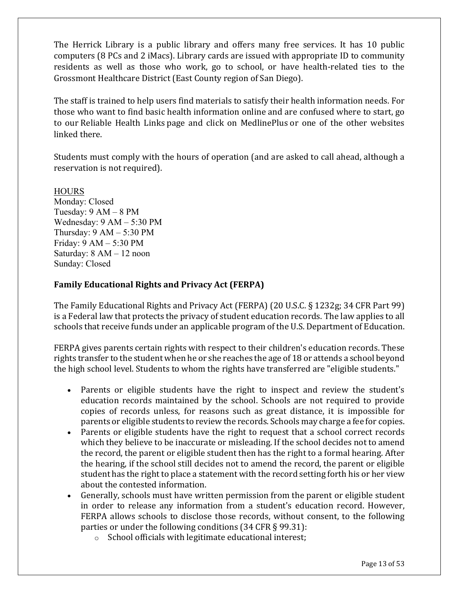The Herrick Library is a public library and offers many free services. It has 10 public computers (8 PCs and 2 iMacs). Library cards are issued with appropriate ID to community residents as well as those who work, go to school, or have health-related ties to the Grossmont Healthcare District (East County region of San Diego).

The staff is trained to help users find materials to satisfy their health information needs. For those who want to find basic health information online and are confused where to start, go to our Reliable Health Links page and click on MedlinePlus or one of the other websites linked there.

Students must comply with the hours of operation (and are asked to call ahead, although a reservation is not required).

#### **HOURS**

Monday: Closed Tuesday: 9 AM – 8 PM Wednesday: 9 AM – 5:30 PM Thursday:  $9 AM - 5:30 PM$ Friday: 9 AM – 5:30 PM Saturday: 8 AM – 12 noon Sunday: Closed

## **Family Educational Rights and Privacy Act (FERPA)**

The Family Educational Rights and Privacy Act (FERPA) (20 U.S.C. § 1232g; 34 CFR Part 99) is a Federal law that protects the privacy of student education records. The law applies to all schools that receive funds under an applicable program of the U.S. Department of Education.

FERPA gives parents certain rights with respect to their children's education records. These rights transfer to the student when he or she reaches the age of 18 or attends a school beyond the high school level. Students to whom the rights have transferred are "eligible students."

- Parents or eligible students have the right to inspect and review the student's education records maintained by the school. Schools are not required to provide copies of records unless, for reasons such as great distance, it is impossible for parents or eligible students to review the records. Schools may charge a fee for copies.
- Parents or eligible students have the right to request that a school correct records which they believe to be inaccurate or misleading. If the school decides not to amend the record, the parent or eligible student then has the right to a formal hearing. After the hearing, if the school still decides not to amend the record, the parent or eligible student has the right to place a statement with the record setting forth his or her view about the contested information.
- Generally, schools must have written permission from the parent or eligible student in order to release any information from a student's education record. However, FERPA allows schools to disclose those records, without consent, to the following parties or under the following conditions (34 CFR § 99.31):
	- o School officials with legitimate educational interest;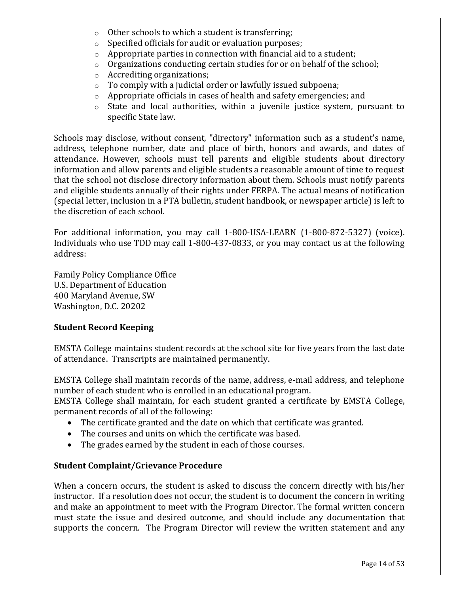- o Other schools to which a student is transferring;
- o Specified officials for audit or evaluation purposes;
- $\circ$  Appropriate parties in connection with financial aid to a student;
- o Organizations conducting certain studies for or on behalf of the school;
- o Accrediting organizations;
- o To comply with a judicial order or lawfully issued subpoena;
- o Appropriate officials in cases of health and safety emergencies; and
- $\circ$  State and local authorities, within a juvenile justice system, pursuant to specific State law.

Schools may disclose, without consent, "directory" information such as a student's name, address, telephone number, date and place of birth, honors and awards, and dates of attendance. However, schools must tell parents and eligible students about directory information and allow parents and eligible students a reasonable amount of time to request that the school not disclose directory information about them. Schools must notify parents and eligible students annually of their rights under FERPA. The actual means of notification (special letter, inclusion in a PTA bulletin, student handbook, or newspaper article) is left to the discretion of each school.

For additional information, you may call 1-800-USA-LEARN (1-800-872-5327) (voice). Individuals who use TDD may call 1-800-437-0833, or you may contact us at the following address:

Family Policy Compliance Office U.S. Department of Education 400 Maryland Avenue, SW Washington, D.C. 20202

## **Student Record Keeping**

EMSTA College maintains student records at the school site for five years from the last date of attendance. Transcripts are maintained permanently.

EMSTA College shall maintain records of the name, address, e-mail address, and telephone number of each student who is enrolled in an educational program.

EMSTA College shall maintain, for each student granted a certificate by EMSTA College, permanent records of all of the following:

- The certificate granted and the date on which that certificate was granted.
- The courses and units on which the certificate was based.
- The grades earned by the student in each of those courses.

## **Student Complaint/Grievance Procedure**

When a concern occurs, the student is asked to discuss the concern directly with his/her instructor. If a resolution does not occur, the student is to document the concern in writing and make an appointment to meet with the Program Director. The formal written concern must state the issue and desired outcome, and should include any documentation that supports the concern. The Program Director will review the written statement and any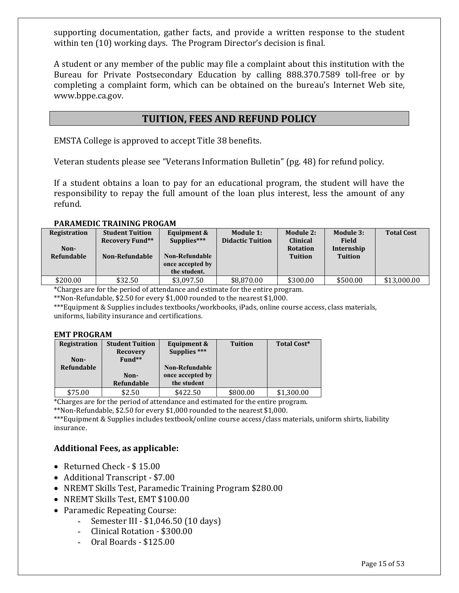supporting documentation, gather facts, and provide a written response to the student within ten (10) working days. The Program Director's decision is final.

A student or any member of the public may file a complaint about this institution with the Bureau for Private Postsecondary Education by calling 888.370.7589 toll-free or by completing a complaint form, which can be obtained on the bureau's Internet Web site, www.bppe.ca.gov.

## **TUITION, FEES AND REFUND POLICY**

EMSTA College is approved to accept Title 38 benefits.

Veteran students please see "Veterans Information Bulletin" (pg. 48) for refund policy.

If a student obtains a loan to pay for an educational program, the student will have the responsibility to repay the full amount of the loan plus interest, less the amount of any refund.

#### **PARAMEDIC TRAINING PROGAM**

| <b>Registration</b> | <b>Student Tuition</b> | Equipment &           | Module 1:               | <b>Module 2:</b> | <b>Module 3:</b> | <b>Total Cost</b> |
|---------------------|------------------------|-----------------------|-------------------------|------------------|------------------|-------------------|
|                     | <b>Recovery Fund**</b> | Supplies***           | <b>Didactic Tuition</b> | <b>Clinical</b>  | Field            |                   |
| Non-                |                        |                       |                         | <b>Rotation</b>  | Internship       |                   |
| Refundable          | Non-Refundable         | <b>Non-Refundable</b> |                         | <b>Tuition</b>   | <b>Tuition</b>   |                   |
|                     |                        | once accepted by      |                         |                  |                  |                   |
|                     |                        | the student.          |                         |                  |                  |                   |
| \$200.00            | \$32.50                | \$3,097.50            | \$8,870.00              | \$300.00         | \$500.00         | \$13,000.00       |

\*Charges are for the period of attendance and estimate for the entire program.

\*\*Non-Refundable, \$2.50 for every \$1,000 rounded to the nearest \$1,000.

\*\*\*Equipment & Supplies includes textbooks/workbooks, iPads, online course access, class materials, uniforms, liability insurance and certifications.

#### **EMT PROGRAM**

| <b>Registration</b><br>Non- | <b>Student Tuition</b><br><b>Recovery</b><br>Fund** | Equipment &<br>Supplies *** | <b>Tuition</b> | <b>Total Cost*</b> |
|-----------------------------|-----------------------------------------------------|-----------------------------|----------------|--------------------|
| Refundable                  |                                                     | <b>Non-Refundable</b>       |                |                    |
|                             | Non-                                                | once accepted by            |                |                    |
|                             | Refundable                                          | the student                 |                |                    |
| \$75.00                     | \$2.50                                              | \$422.50                    | \$800.00       | \$1,300.00         |

\*Charges are for the period of attendance and estimated for the entire program.

\*\*Non-Refundable, \$2.50 for every \$1,000 rounded to the nearest \$1,000.

\*\*\*Equipment & Supplies includes textbook/online course access/class materials, uniform shirts, liability insurance.

#### **Additional Fees, as applicable:**

- Returned Check \$ 15.00
- Additional Transcript \$7.00
- NREMT Skills Test, Paramedic Training Program \$280.00
- NREMT Skills Test, EMT \$100.00
- Paramedic Repeating Course:
	- Semester III \$1,046.50 (10 days)
	- Clinical Rotation \$300.00
	- Oral Boards \$125.00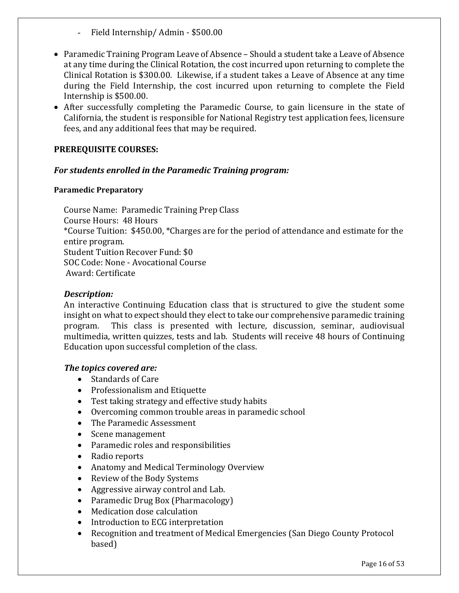- Field Internship/Admin \$500.00
- Paramedic Training Program Leave of Absence Should a student take a Leave of Absence at any time during the Clinical Rotation, the cost incurred upon returning to complete the Clinical Rotation is \$300.00. Likewise, if a student takes a Leave of Absence at any time during the Field Internship, the cost incurred upon returning to complete the Field Internship is \$500.00.
- After successfully completing the Paramedic Course, to gain licensure in the state of California, the student is responsible for National Registry test application fees, licensure fees, and any additional fees that may be required.

#### **PREREQUISITE COURSES:**

#### *For students enrolled in the Paramedic Training program:*

#### **Paramedic Preparatory**

Course Name: Paramedic Training Prep Class Course Hours: 48 Hours \*Course Tuition: \$450.00, \*Charges are for the period of attendance and estimate for the entire program. Student Tuition Recover Fund: \$0 SOC Code: None - Avocational Course Award: Certificate

#### *Description:*

An interactive Continuing Education class that is structured to give the student some insight on what to expect should they elect to take our comprehensive paramedic training program. This class is presented with lecture, discussion, seminar, audiovisual multimedia, written quizzes, tests and lab. Students will receive 48 hours of Continuing Education upon successful completion of the class.

#### *The topics covered are:*

- Standards of Care
- Professionalism and Etiquette
- Test taking strategy and effective study habits
- Overcoming common trouble areas in paramedic school
- The Paramedic Assessment
- Scene management
- Paramedic roles and responsibilities
- Radio reports
- Anatomy and Medical Terminology Overview
- Review of the Body Systems
- Aggressive airway control and Lab.
- Paramedic Drug Box (Pharmacology)
- Medication dose calculation
- Introduction to ECG interpretation
- Recognition and treatment of Medical Emergencies (San Diego County Protocol based)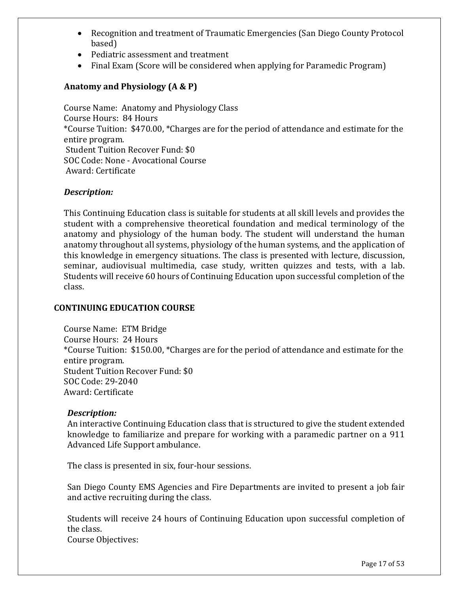- Recognition and treatment of Traumatic Emergencies (San Diego County Protocol based)
- Pediatric assessment and treatment
- Final Exam (Score will be considered when applying for Paramedic Program)

## **Anatomy and Physiology (A & P)**

Course Name: Anatomy and Physiology Class Course Hours: 84 Hours \*Course Tuition: \$470.00, \*Charges are for the period of attendance and estimate for the entire program. Student Tuition Recover Fund: \$0 SOC Code: None - Avocational Course Award: Certificate

#### *Description:*

This Continuing Education class is suitable for students at all skill levels and provides the student with a comprehensive theoretical foundation and medical terminology of the anatomy and physiology of the human body. The student will understand the human anatomy throughout all systems, physiology of the human systems, and the application of this knowledge in emergency situations. The class is presented with lecture, discussion, seminar, audiovisual multimedia, case study, written quizzes and tests, with a lab. Students will receive 60 hours of Continuing Education upon successful completion of the class.

#### **CONTINUING EDUCATION COURSE**

Course Name: ETM Bridge Course Hours: 24 Hours \*Course Tuition: \$150.00, \*Charges are for the period of attendance and estimate for the entire program. Student Tuition Recover Fund: \$0 SOC Code: 29-2040 Award: Certificate

#### *Description:*

An interactive Continuing Education class that is structured to give the student extended knowledge to familiarize and prepare for working with a paramedic partner on a 911 Advanced Life Support ambulance.

The class is presented in six, four-hour sessions.

San Diego County EMS Agencies and Fire Departments are invited to present a job fair and active recruiting during the class.

Students will receive 24 hours of Continuing Education upon successful completion of the class. Course Objectives: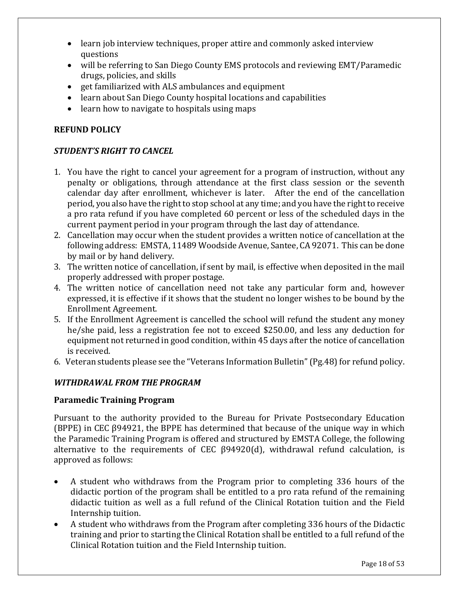- learn job interview techniques, proper attire and commonly asked interview questions
- will be referring to San Diego County EMS protocols and reviewing EMT/Paramedic drugs, policies, and skills
- get familiarized with ALS ambulances and equipment
- learn about San Diego County hospital locations and capabilities
- learn how to navigate to hospitals using maps

## **REFUND POLICY**

## *STUDENT'S RIGHT TO CANCEL*

- 1. You have the right to cancel your agreement for a program of instruction, without any penalty or obligations, through attendance at the first class session or the seventh calendar day after enrollment, whichever is later. After the end of the cancellation period, you also have the right to stop school at any time; and you have the right to receive a pro rata refund if you have completed 60 percent or less of the scheduled days in the current payment period in your program through the last day of attendance.
- 2. Cancellation may occur when the student provides a written notice of cancellation at the following address: EMSTA, 11489 Woodside Avenue, Santee, CA 92071. This can be done by mail or by hand delivery.
- 3. The written notice of cancellation, if sent by mail, is effective when deposited in the mail properly addressed with proper postage.
- 4. The written notice of cancellation need not take any particular form and, however expressed, it is effective if it shows that the student no longer wishes to be bound by the Enrollment Agreement.
- 5. If the Enrollment Agreement is cancelled the school will refund the student any money he/she paid, less a registration fee not to exceed \$250.00, and less any deduction for equipment not returned in good condition, within 45 days after the notice of cancellation is received.
- 6. Veteran students please see the "Veterans Information Bulletin" (Pg.48) for refund policy.

## *WITHDRAWAL FROM THE PROGRAM*

## **Paramedic Training Program**

Pursuant to the authority provided to the Bureau for Private Postsecondary Education (BPPE) in CEC β94921, the BPPE has determined that because of the unique way in which the Paramedic Training Program is offered and structured by EMSTA College, the following alternative to the requirements of CEC β94920(d), withdrawal refund calculation, is approved as follows:

- A student who withdraws from the Program prior to completing 336 hours of the didactic portion of the program shall be entitled to a pro rata refund of the remaining didactic tuition as well as a full refund of the Clinical Rotation tuition and the Field Internship tuition.
- A student who withdraws from the Program after completing 336 hours of the Didactic training and prior to starting the Clinical Rotation shall be entitled to a full refund of the Clinical Rotation tuition and the Field Internship tuition.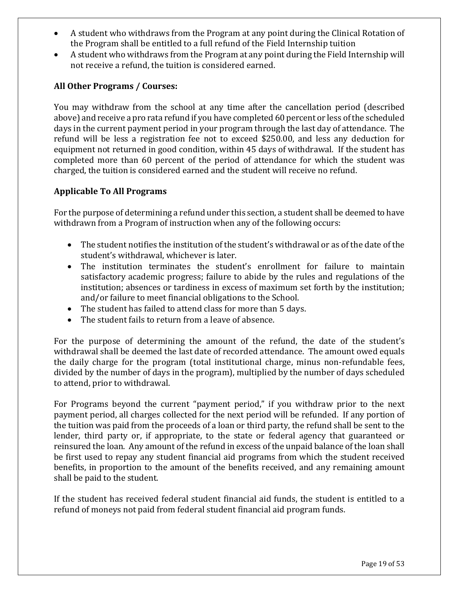- A student who withdraws from the Program at any point during the Clinical Rotation of the Program shall be entitled to a full refund of the Field Internship tuition
- A student who withdraws from the Program at any point during the Field Internship will not receive a refund, the tuition is considered earned.

## **All Other Programs / Courses:**

You may withdraw from the school at any time after the cancellation period (described above) and receive a pro rata refund if you have completed 60 percent or less of the scheduled days in the current payment period in your program through the last day of attendance. The refund will be less a registration fee not to exceed \$250.00, and less any deduction for equipment not returned in good condition, within 45 days of withdrawal. If the student has completed more than 60 percent of the period of attendance for which the student was charged, the tuition is considered earned and the student will receive no refund.

## **Applicable To All Programs**

For the purpose of determining a refund under this section, a student shall be deemed to have withdrawn from a Program of instruction when any of the following occurs:

- The student notifies the institution of the student's withdrawal or as of the date of the student's withdrawal, whichever is later.
- The institution terminates the student's enrollment for failure to maintain satisfactory academic progress; failure to abide by the rules and regulations of the institution; absences or tardiness in excess of maximum set forth by the institution; and/or failure to meet financial obligations to the School.
- The student has failed to attend class for more than 5 days.
- The student fails to return from a leave of absence.

For the purpose of determining the amount of the refund, the date of the student's withdrawal shall be deemed the last date of recorded attendance. The amount owed equals the daily charge for the program (total institutional charge, minus non-refundable fees, divided by the number of days in the program), multiplied by the number of days scheduled to attend, prior to withdrawal.

For Programs beyond the current "payment period," if you withdraw prior to the next payment period, all charges collected for the next period will be refunded.If any portion of the tuition was paid from the proceeds of a loan or third party, the refund shall be sent to the lender, third party or, if appropriate, to the state or federal agency that guaranteed or reinsured the loan. Any amount of the refund in excess of the unpaid balance of the loan shall be first used to repay any student financial aid programs from which the student received benefits, in proportion to the amount of the benefits received, and any remaining amount shall be paid to the student.

If the student has received federal student financial aid funds, the student is entitled to a refund of moneys not paid from federal student financial aid program funds.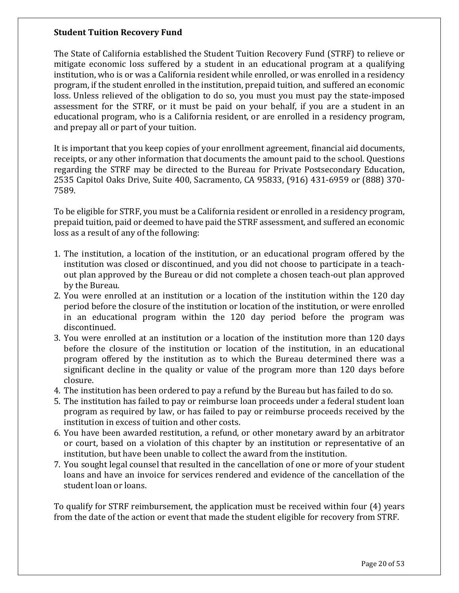#### **Student Tuition Recovery Fund**

The State of California established the Student Tuition Recovery Fund (STRF) to relieve or mitigate economic loss suffered by a student in an educational program at a qualifying institution, who is or was a California resident while enrolled, or was enrolled in a residency program, if the student enrolled in the institution, prepaid tuition, and suffered an economic loss. Unless relieved of the obligation to do so, you must you must pay the state-imposed assessment for the STRF, or it must be paid on your behalf, if you are a student in an educational program, who is a California resident, or are enrolled in a residency program, and prepay all or part of your tuition.

It is important that you keep copies of your enrollment agreement, financial aid documents, receipts, or any other information that documents the amount paid to the school. Questions regarding the STRF may be directed to the Bureau for Private Postsecondary Education, 2535 Capitol Oaks Drive, Suite 400, Sacramento, CA 95833, (916) 431-6959 or (888) 370- 7589.

To be eligible for STRF, you must be a California resident or enrolled in a residency program, prepaid tuition, paid or deemed to have paid the STRF assessment, and suffered an economic loss as a result of any of the following:

- 1. The institution, a location of the institution, or an educational program offered by the institution was closed or discontinued, and you did not choose to participate in a teachout plan approved by the Bureau or did not complete a chosen teach-out plan approved by the Bureau.
- 2. You were enrolled at an institution or a location of the institution within the 120 day period before the closure of the institution or location of the institution, or were enrolled in an educational program within the 120 day period before the program was discontinued.
- 3. You were enrolled at an institution or a location of the institution more than 120 days before the closure of the institution or location of the institution, in an educational program offered by the institution as to which the Bureau determined there was a significant decline in the quality or value of the program more than 120 days before closure.
- 4. The institution has been ordered to pay a refund by the Bureau but has failed to do so.
- 5. The institution has failed to pay or reimburse loan proceeds under a federal student loan program as required by law, or has failed to pay or reimburse proceeds received by the institution in excess of tuition and other costs.
- 6. You have been awarded restitution, a refund, or other monetary award by an arbitrator or court, based on a violation of this chapter by an institution or representative of an institution, but have been unable to collect the award from the institution.
- 7. You sought legal counsel that resulted in the cancellation of one or more of your student loans and have an invoice for services rendered and evidence of the cancellation of the student loan or loans.

To qualify for STRF reimbursement, the application must be received within four (4) years from the date of the action or event that made the student eligible for recovery from STRF.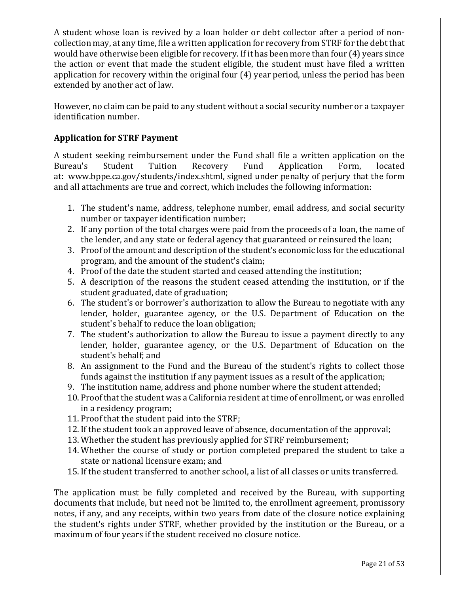A student whose loan is revived by a loan holder or debt collector after a period of noncollection may, at any time, file a written application for recovery from STRF for the debt that would have otherwise been eligible for recovery. If it has been more than four (4) years since the action or event that made the student eligible, the student must have filed a written application for recovery within the original four (4) year period, unless the period has been extended by another act of law.

However, no claim can be paid to any student without a social security number or a taxpayer identification number.

## **Application for STRF Payment**

A student seeking reimbursement under the Fund shall file a written application on the Bureau's Student Tuition Recovery Fund Application Form, located at: www.bppe.ca.gov/students/index.shtml, signed under penalty of perjury that the form and all attachments are true and correct, which includes the following information:

- 1. The student's name, address, telephone number, email address, and social security number or taxpayer identification number;
- 2. If any portion of the total charges were paid from the proceeds of a loan, the name of the lender, and any state or federal agency that guaranteed or reinsured the loan;
- 3. Proof of the amount and description of the student's economic loss for the educational program, and the amount of the student's claim;
- 4. Proof of the date the student started and ceased attending the institution;
- 5. A description of the reasons the student ceased attending the institution, or if the student graduated, date of graduation;
- 6. The student's or borrower's authorization to allow the Bureau to negotiate with any lender, holder, guarantee agency, or the U.S. Department of Education on the student's behalf to reduce the loan obligation;
- 7. The student's authorization to allow the Bureau to issue a payment directly to any lender, holder, guarantee agency, or the U.S. Department of Education on the student's behalf; and
- 8. An assignment to the Fund and the Bureau of the student's rights to collect those funds against the institution if any payment issues as a result of the application;
- 9. The institution name, address and phone number where the student attended;
- 10. Proof that the student was a California resident at time of enrollment, or was enrolled in a residency program;
- 11. Proof that the student paid into the STRF;
- 12. If the student took an approved leave of absence, documentation of the approval;
- 13. Whether the student has previously applied for STRF reimbursement;
- 14. Whether the course of study or portion completed prepared the student to take a state or national licensure exam; and
- 15. If the student transferred to another school, a list of all classes or units transferred.

The application must be fully completed and received by the Bureau, with supporting documents that include, but need not be limited to, the enrollment agreement, promissory notes, if any, and any receipts, within two years from date of the closure notice explaining the student's rights under STRF, whether provided by the institution or the Bureau, or a maximum of four years if the student received no closure notice.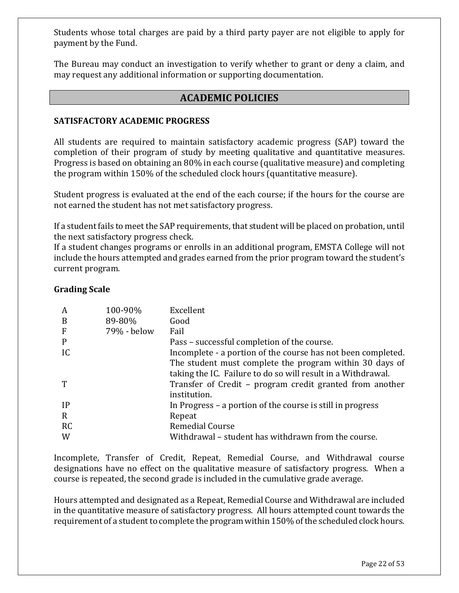Students whose total charges are paid by a third party payer are not eligible to apply for payment by the Fund.

The Bureau may conduct an investigation to verify whether to grant or deny a claim, and may request any additional information or supporting documentation.

## **ACADEMIC POLICIES**

#### **SATISFACTORY ACADEMIC PROGRESS**

All students are required to maintain satisfactory academic progress (SAP) toward the completion of their program of study by meeting qualitative and quantitative measures. Progress is based on obtaining an 80% in each course (qualitative measure) and completing the program within 150% of the scheduled clock hours (quantitative measure).

Student progress is evaluated at the end of the each course; if the hours for the course are not earned the student has not met satisfactory progress.

If a student fails to meet the SAP requirements, that student will be placed on probation, until the next satisfactory progress check.

If a student changes programs or enrolls in an additional program, EMSTA College will not include the hours attempted and grades earned from the prior program toward the student's current program.

#### **Grading Scale**

| A            | 100-90%     | Excellent                                                    |
|--------------|-------------|--------------------------------------------------------------|
| B            | 89-80%      | Good                                                         |
| $\mathbf{F}$ | 79% - below | Fail                                                         |
| $\mathbf{P}$ |             | Pass – successful completion of the course.                  |
| IC           |             | Incomplete - a portion of the course has not been completed. |
|              |             | The student must complete the program within 30 days of      |
|              |             | taking the IC. Failure to do so will result in a Withdrawal. |
| T            |             | Transfer of Credit – program credit granted from another     |
|              |             | institution.                                                 |
| IP           |             | In Progress – a portion of the course is still in progress   |
| $\mathbf R$  |             | Repeat                                                       |
| <b>RC</b>    |             | <b>Remedial Course</b>                                       |
| W            |             | Withdrawal - student has withdrawn from the course.          |

Incomplete, Transfer of Credit, Repeat, Remedial Course, and Withdrawal course designations have no effect on the qualitative measure of satisfactory progress. When a course is repeated, the second grade is included in the cumulative grade average.

Hours attempted and designated as a Repeat, Remedial Course and Withdrawal are included in the quantitative measure of satisfactory progress. All hours attempted count towards the requirement of a student to complete the program within 150% of the scheduled clock hours.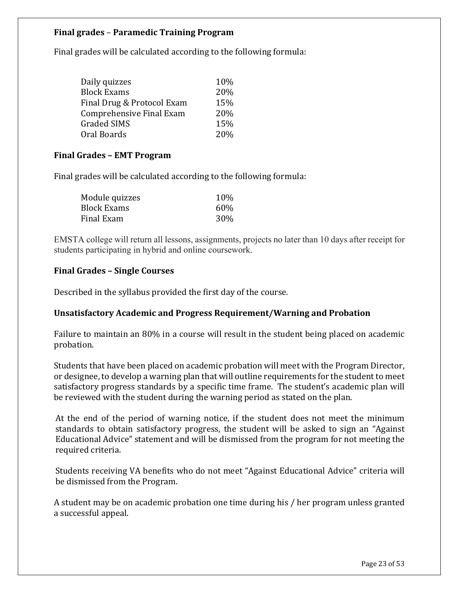## **Final grades** – **Paramedic Training Program**

Final grades will be calculated according to the following formula:

| Daily quizzes              | 10% |
|----------------------------|-----|
| <b>Block Exams</b>         | 20% |
| Final Drug & Protocol Exam | 15% |
| Comprehensive Final Exam   | 20% |
| <b>Graded SIMS</b>         | 15% |
| Oral Boards                | 20% |

#### **Final Grades – EMT Program**

Final grades will be calculated according to the following formula:

| Module quizzes     | 10% |
|--------------------|-----|
| <b>Block Exams</b> | 60% |
| Final Exam         | 30% |

EMSTA college will return all lessons, assignments, projects no later than 10 days after receipt for students participating in hybrid and online coursework.

#### **Final Grades – Single Courses**

Described in the syllabus provided the first day of the course.

#### **Unsatisfactory Academic and Progress Requirement/Warning and Probation**

Failure to maintain an 80% in a course will result in the student being placed on academic probation.

Students that have been placed on academic probation will meet with the Program Director, or designee, to develop a warning plan that will outline requirements for the student to meet satisfactory progress standards by a specific time frame. The student's academic plan will be reviewed with the student during the warning period as stated on the plan.

At the end of the period of warning notice, if the student does not meet the minimum standards to obtain satisfactory progress, the student will be asked to sign an "Against Educational Advice" statement and will be dismissed from the program for not meeting the required criteria.

Students receiving VA benefits who do not meet "Against Educational Advice" criteria will be dismissed from the Program.

A student may be on academic probation one time during his / her program unless granted a successful appeal.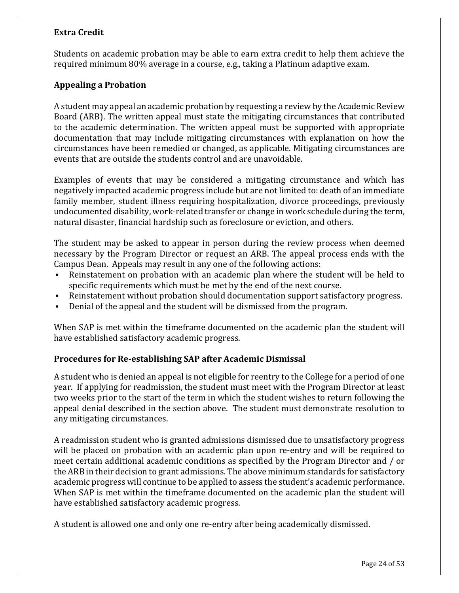## **Extra Credit**

Students on academic probation may be able to earn extra credit to help them achieve the required minimum 80% average in a course, e.g., taking a Platinum adaptive exam.

## **Appealing a Probation**

A student may appeal an academic probation by requesting a review by the Academic Review Board (ARB). The written appeal must state the mitigating circumstances that contributed to the academic determination. The written appeal must be supported with appropriate documentation that may include mitigating circumstances with explanation on how the circumstances have been remedied or changed, as applicable. Mitigating circumstances are events that are outside the students control and are unavoidable.

Examples of events that may be considered a mitigating circumstance and which has negatively impacted academic progress include but are not limited to: death of an immediate family member, student illness requiring hospitalization, divorce proceedings, previously undocumented disability, work-related transfer or change in work schedule during the term, natural disaster, financial hardship such as foreclosure or eviction, and others.

The student may be asked to appear in person during the review process when deemed necessary by the Program Director or request an ARB. The appeal process ends with the Campus Dean. Appeals may result in any one of the following actions:

- Reinstatement on probation with an academic plan where the student will be held to specific requirements which must be met by the end of the next course.
- Reinstatement without probation should documentation support satisfactory progress.
- Denial of the appeal and the student will be dismissed from the program.

When SAP is met within the timeframe documented on the academic plan the student will have established satisfactory academic progress.

## **Procedures for Re‐establishing SAP after Academic Dismissal**

A student who is denied an appeal is not eligible for reentry to the College for a period of one year. If applying for readmission, the student must meet with the Program Director at least two weeks prior to the start of the term in which the student wishes to return following the appeal denial described in the section above. The student must demonstrate resolution to any mitigating circumstances.

A readmission student who is granted admissions dismissed due to unsatisfactory progress will be placed on probation with an academic plan upon re-entry and will be required to meet certain additional academic conditions as specified by the Program Director and / or the ARB in their decision to grant admissions. The above minimum standards for satisfactory academic progress will continue to be applied to assess the student's academic performance. When SAP is met within the timeframe documented on the academic plan the student will have established satisfactory academic progress.

A student is allowed one and only one re-entry after being academically dismissed.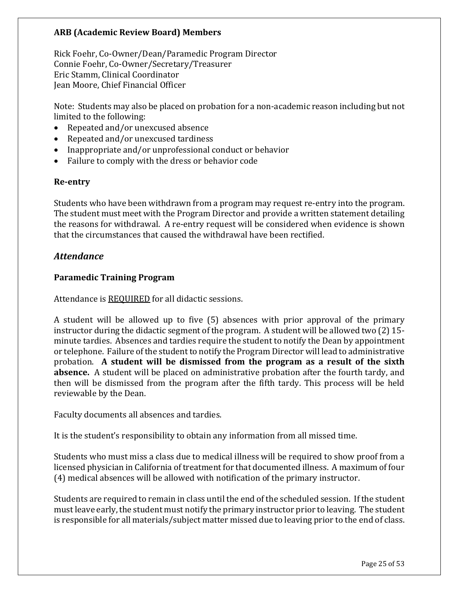## **ARB (Academic Review Board) Members**

Rick Foehr, Co-Owner/Dean/Paramedic Program Director Connie Foehr, Co-Owner/Secretary/Treasurer Eric Stamm, Clinical Coordinator Jean Moore, Chief Financial Officer

Note: Students may also be placed on probation for a non-academic reason including but not limited to the following:

- Repeated and/or unexcused absence
- Repeated and/or unexcused tardiness
- Inappropriate and/or unprofessional conduct or behavior
- Failure to comply with the dress or behavior code

## **Re‐entry**

Students who have been withdrawn from a program may request re-entry into the program. The student must meet with the Program Director and provide a written statement detailing the reasons for withdrawal. A re-entry request will be considered when evidence is shown that the circumstances that caused the withdrawal have been rectified.

## *Attendance*

## **Paramedic Training Program**

Attendance is REQUIRED for all didactic sessions.

A student will be allowed up to five (5) absences with prior approval of the primary instructor during the didactic segment of the program. A student will be allowed two (2) 15 minute tardies. Absences and tardies require the student to notify the Dean by appointment or telephone. Failure of the student to notify the Program Director will lead to administrative probation. **A student will be dismissed from the program as a result of the sixth absence.** A student will be placed on administrative probation after the fourth tardy, and then will be dismissed from the program after the fifth tardy. This process will be held reviewable by the Dean.

Faculty documents all absences and tardies.

It is the student's responsibility to obtain any information from all missed time.

Students who must miss a class due to medical illness will be required to show proof from a licensed physician in California of treatment for that documented illness. A maximum of four (4) medical absences will be allowed with notification of the primary instructor.

Students are required to remain in class until the end of the scheduled session. If the student must leave early, the student must notify the primary instructor prior to leaving. The student is responsible for all materials/subject matter missed due to leaving prior to the end of class.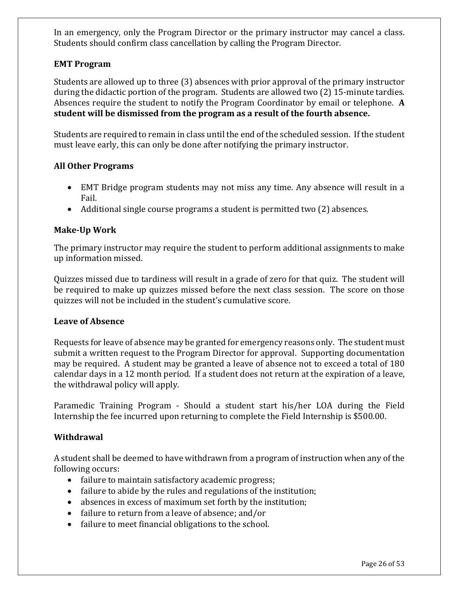In an emergency, only the Program Director or the primary instructor may cancel a class. Students should confirm class cancellation by calling the Program Director.

#### **EMT** Program

Students are allowed up to three (3) absences with prior approval of the primary instructor during the didactic portion of the program. Students are allowed two (2) 15-minute tardies. Absences require the student to notify the Program Coordinator by email or telephone. **A student will be dismissed from the program as a result of the fourth absence.** 

Students are required to remain in class until the end of the scheduled session. If the student must leave early, this can only be done after notifying the primary instructor.

#### **All Other Programs**

- EMT Bridge program students may not miss any time. Any absence will result in a Fail.
- Additional single course programs a student is permitted two (2) absences.

#### **Make‐Up Work**

The primary instructor may require the student to perform additional assignments to make up information missed.

Quizzes missed due to tardiness will result in a grade of zero for that quiz. The student will be required to make up quizzes missed before the next class session. The score on those quizzes will not be included in the student's cumulative score.

#### **Leave of Absence**

Requests for leave of absence may be granted for emergency reasons only. The student must submit a written request to the Program Director for approval. Supporting documentation may be required. A student may be granted a leave of absence not to exceed a total of 180 calendar days in a 12 month period. If a student does not return at the expiration of a leave, the withdrawal policy will apply.

Paramedic Training Program - Should a student start his/her LOA during the Field Internship the fee incurred upon returning to complete the Field Internship is \$500.00.

#### **Withdrawal**

A student shall be deemed to have withdrawn from a program of instruction when any of the following occurs:

- failure to maintain satisfactory academic progress;
- failure to abide by the rules and regulations of the institution;
- absences in excess of maximum set forth by the institution;
- failure to return from a leave of absence; and/or
- failure to meet financial obligations to the school.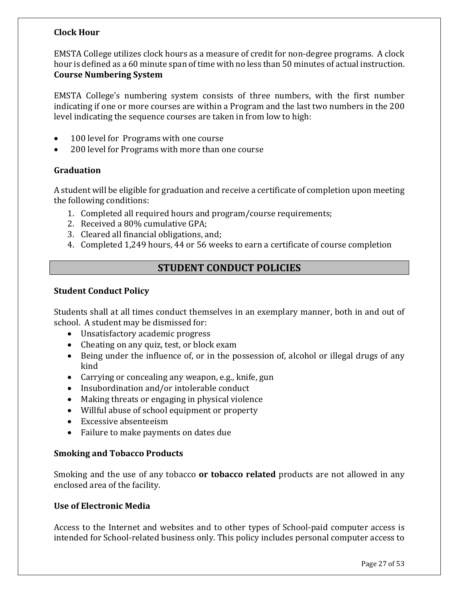## **Clock Hour**

EMSTA College utilizes clock hours as a measure of credit for non-degree programs. A clock hour is defined as a 60 minute span of time with no less than 50 minutes of actual instruction. **Course Numbering System**

EMSTA College's numbering system consists of three numbers, with the first number indicating if one or more courses are within a Program and the last two numbers in the 200 level indicating the sequence courses are taken in from low to high:

- 100 level for Programs with one course
- 200 level for Programs with more than one course

## **Graduation**

A student will be eligible for graduation and receive a certificate of completion upon meeting the following conditions:

- 1. Completed all required hours and program/course requirements;
- 2. Received a 80% cumulative GPA;
- 3. Cleared all financial obligations, and;
- 4. Completed 1,249 hours, 44 or 56 weeks to earn a certificate of course completion

## **STUDENT CONDUCT POLICIES**

## **Student Conduct Policy**

Students shall at all times conduct themselves in an exemplary manner, both in and out of school. A student may be dismissed for:

- Unsatisfactory academic progress
- Cheating on any quiz, test, or block exam
- Being under the influence of, or in the possession of, alcohol or illegal drugs of any kind
- Carrying or concealing any weapon, e.g., knife, gun
- Insubordination and/or intolerable conduct
- Making threats or engaging in physical violence
- Willful abuse of school equipment or property
- Excessive absenteeism
- Failure to make payments on dates due

## **Smoking and Tobacco Products**

Smoking and the use of any tobacco **or tobacco related** products are not allowed in any enclosed area of the facility.

## **Use of Electronic Media**

Access to the Internet and websites and to other types of School-paid computer access is intended for School-related business only. This policy includes personal computer access to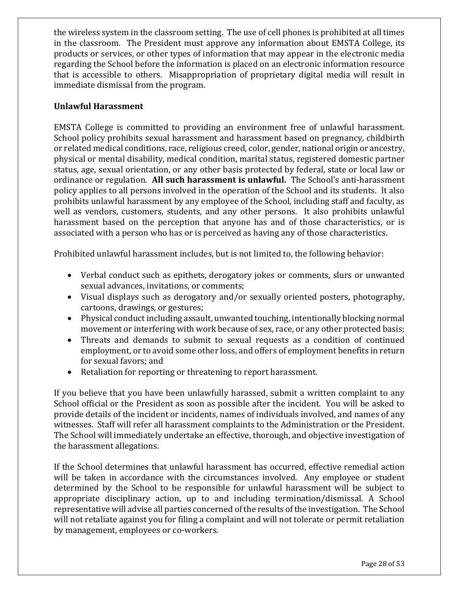the wireless system in the classroom setting. The use of cell phones is prohibited at all times in the classroom. The President must approve any information about EMSTA College, its products or services, or other types of information that may appear in the electronic media regarding the School before the information is placed on an electronic information resource that is accessible to others. Misappropriation of proprietary digital media will result in immediate dismissal from the program.

## **Unlawful Harassment**

EMSTA College is committed to providing an environment free of unlawful harassment. School policy prohibits sexual harassment and harassment based on pregnancy, childbirth or related medical conditions, race, religious creed, color, gender, national origin or ancestry, physical or mental disability, medical condition, marital status, registered domestic partner status, age, sexual orientation, or any other basis protected by federal, state or local law or ordinance or regulation. **All such harassment is unlawful.** The School's anti-harassment policy applies to all persons involved in the operation of the School and its students. It also prohibits unlawful harassment by any employee of the School, including staff and faculty, as well as vendors, customers, students, and any other persons. It also prohibits unlawful harassment based on the perception that anyone has and of those characteristics, or is associated with a person who has or is perceived as having any of those characteristics.

Prohibited unlawful harassment includes, but is not limited to, the following behavior:

- Verbal conduct such as epithets, derogatory jokes or comments, slurs or unwanted sexual advances, invitations, or comments;
- Visual displays such as derogatory and/or sexually oriented posters, photography, cartoons, drawings, or gestures;
- Physical conduct including assault, unwanted touching, intentionally blocking normal movement or interfering with work because of sex, race, or any other protected basis;
- Threats and demands to submit to sexual requests as a condition of continued employment, or to avoid some other loss, and offers of employment benefits in return for sexual favors; and
- Retaliation for reporting or threatening to report harassment.

If you believe that you have been unlawfully harassed, submit a written complaint to any School official or the President as soon as possible after the incident. You will be asked to provide details of the incident or incidents, names of individuals involved, and names of any witnesses. Staff will refer all harassment complaints to the Administration or the President. The School will immediately undertake an effective, thorough, and objective investigation of the harassment allegations.

If the School determines that unlawful harassment has occurred, effective remedial action will be taken in accordance with the circumstances involved. Any employee or student determined by the School to be responsible for unlawful harassment will be subject to appropriate disciplinary action, up to and including termination/dismissal. A School representative will advise all parties concerned of the results of the investigation. The School will not retaliate against you for filing a complaint and will not tolerate or permit retaliation by management, employees or co-workers.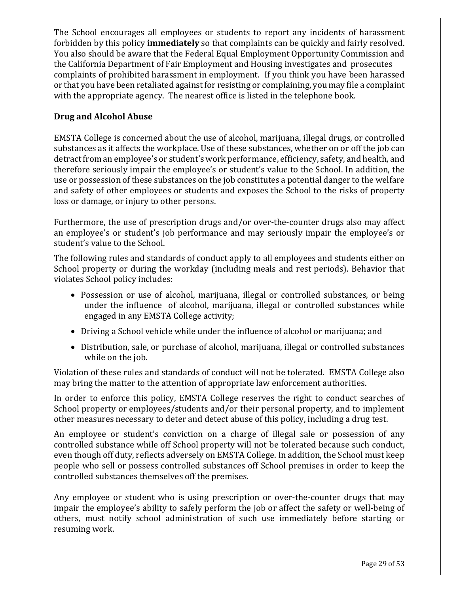The School encourages all employees or students to report any incidents of harassment forbidden by this policy **immediately** so that complaints can be quickly and fairly resolved. You also should be aware that the Federal Equal Employment Opportunity Commission and the California Department of Fair Employment and Housing investigates and prosecutes complaints of prohibited harassment in employment. If you think you have been harassed or that you have been retaliated against for resisting or complaining, you may file a complaint with the appropriate agency. The nearest office is listed in the telephone book.

## **Drug and Alcohol Abuse**

EMSTA College is concerned about the use of alcohol, marijuana, illegal drugs, or controlled substances as it affects the workplace. Use of these substances, whether on or off the job can detract from an employee's or student's work performance, efficiency, safety, and health, and therefore seriously impair the employee's or student's value to the School. In addition, the use or possession of these substances on the job constitutes a potential danger to the welfare and safety of other employees or students and exposes the School to the risks of property loss or damage, or injury to other persons.

Furthermore, the use of prescription drugs and/or over-the-counter drugs also may affect an employee's or student's job performance and may seriously impair the employee's or student's value to the School.

The following rules and standards of conduct apply to all employees and students either on School property or during the workday (including meals and rest periods). Behavior that violates School policy includes:

- Possession or use of alcohol, marijuana, illegal or controlled substances, or being under the influence of alcohol, marijuana, illegal or controlled substances while engaged in any EMSTA College activity;
- Driving a School vehicle while under the influence of alcohol or marijuana; and
- Distribution, sale, or purchase of alcohol, marijuana, illegal or controlled substances while on the job.

Violation of these rules and standards of conduct will not be tolerated. EMSTA College also may bring the matter to the attention of appropriate law enforcement authorities.

In order to enforce this policy, EMSTA College reserves the right to conduct searches of School property or employees/students and/or their personal property, and to implement other measures necessary to deter and detect abuse of this policy, including a drug test.

An employee or student's conviction on a charge of illegal sale or possession of any controlled substance while off School property will not be tolerated because such conduct, even though off duty, reflects adversely on EMSTA College. In addition, the School must keep people who sell or possess controlled substances off School premises in order to keep the controlled substances themselves off the premises.

Any employee or student who is using prescription or over-the-counter drugs that may impair the employee's ability to safely perform the job or affect the safety or well-being of others, must notify school administration of such use immediately before starting or resuming work.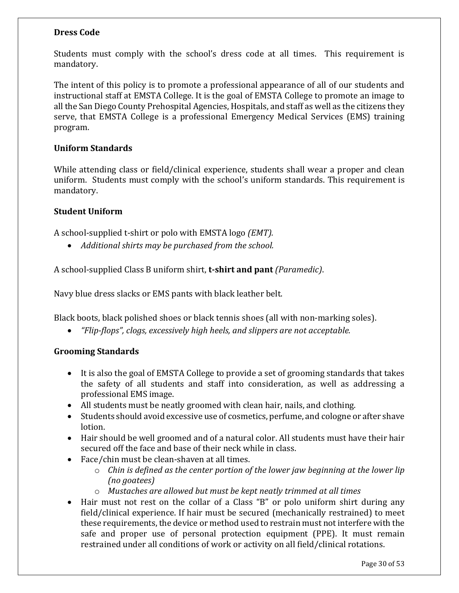## **Dress Code**

Students must comply with the school's dress code at all times. This requirement is mandatory.

The intent of this policy is to promote a professional appearance of all of our students and instructional staff at EMSTA College. It is the goal of EMSTA College to promote an image to all the San Diego County Prehospital Agencies, Hospitals, and staff as well as the citizens they serve, that EMSTA College is a professional Emergency Medical Services (EMS) training program.

## **Uniform Standards**

While attending class or field/clinical experience, students shall wear a proper and clean uniform. Students must comply with the school's uniform standards. This requirement is mandatory.

## **Student Uniform**

A school-supplied t-shirt or polo with EMSTA logo *(EMT).*

*Additional shirts may be purchased from the school.*

A school-supplied Class B uniform shirt, **t‐shirt and pant** *(Paramedic)*.

Navy blue dress slacks or EMS pants with black leather belt.

Black boots, black polished shoes or black tennis shoes (all with non-marking soles).

*"Flip‐flops", clogs, excessively high heels, and slippers are not acceptable.*

## **Grooming Standards**

- It is also the goal of EMSTA College to provide a set of grooming standards that takes the safety of all students and staff into consideration, as well as addressing a professional EMS image.
- All students must be neatly groomed with clean hair, nails, and clothing.
- Students should avoid excessive use of cosmetics, perfume, and cologne or after shave lotion.
- Hair should be well groomed and of a natural color. All students must have their hair secured off the face and base of their neck while in class.
- Face/chin must be clean-shaven at all times.
	- o *Chin is defined as the center portion of the lower jaw beginning at the lower lip (no goatees)*
	- o *Mustaches are allowed but must be kept neatly trimmed at all times*
- Hair must not rest on the collar of a Class "B" or polo uniform shirt during any field/clinical experience. If hair must be secured (mechanically restrained) to meet these requirements, the device or method used to restrain must not interfere with the safe and proper use of personal protection equipment (PPE). It must remain restrained under all conditions of work or activity on all field/clinical rotations.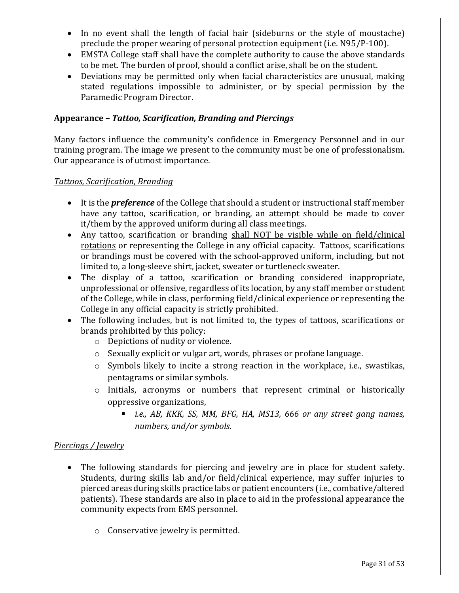- In no event shall the length of facial hair (sideburns or the style of moustache) preclude the proper wearing of personal protection equipment (i.e. N95/P-100).
- EMSTA College staff shall have the complete authority to cause the above standards to be met. The burden of proof, should a conflict arise, shall be on the student.
- Deviations may be permitted only when facial characteristics are unusual, making stated regulations impossible to administer, or by special permission by the Paramedic Program Director.

## **Appearance –** *Tattoo, Scarification, Branding and Piercings*

Many factors influence the community's confidence in Emergency Personnel and in our training program. The image we present to the community must be one of professionalism. Our appearance is of utmost importance.

#### *Tattoos, Scarification, Branding*

- It is the *preference* of the College that should a student or instructional staff member have any tattoo, scarification, or branding, an attempt should be made to cover it/them by the approved uniform during all class meetings.
- Any tattoo, scarification or branding shall NOT be visible while on field/clinical rotations or representing the College in any official capacity. Tattoos, scarifications or brandings must be covered with the school-approved uniform, including, but not limited to, a long-sleeve shirt, jacket, sweater or turtleneck sweater.
- The display of a tattoo, scarification or branding considered inappropriate, unprofessional or offensive, regardless of its location, by any staff member or student of the College, while in class, performing field/clinical experience or representing the College in any official capacity is strictly prohibited.
- The following includes, but is not limited to, the types of tattoos, scarifications or brands prohibited by this policy:
	- o Depictions of nudity or violence.
	- o Sexually explicit or vulgar art, words, phrases or profane language.
	- o Symbols likely to incite a strong reaction in the workplace, i.e., swastikas, pentagrams or similar symbols.
	- o Initials, acronyms or numbers that represent criminal or historically oppressive organizations,
		- *i.e., AB, KKK, SS, MM, BFG, HA, MS13, 666 or any street gang names, numbers, and/or symbols.*

## *Piercings / Jewelry*

- The following standards for piercing and jewelry are in place for student safety. Students, during skills lab and/or field/clinical experience, may suffer injuries to pierced areas during skills practice labs or patient encounters (i.e., combative/altered patients). These standards are also in place to aid in the professional appearance the community expects from EMS personnel.
	- o Conservative jewelry is permitted.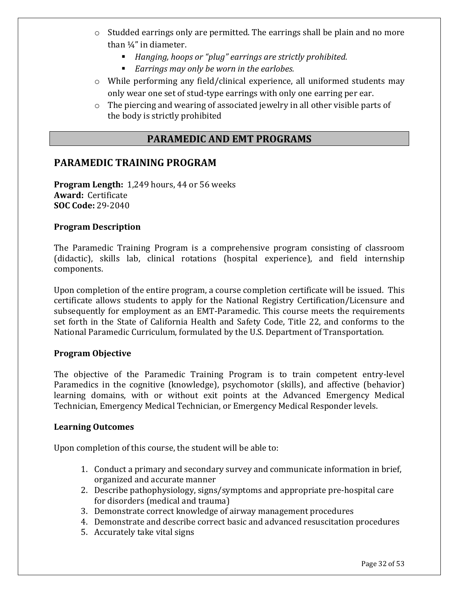- o Studded earrings only are permitted. The earrings shall be plain and no more than ¼" in diameter.
	- *Hanging, hoops or "plug" earrings are strictly prohibited.*
	- *Earrings may only be worn in the earlobes.*
- o While performing any field/clinical experience, all uniformed students may only wear one set of stud-type earrings with only one earring per ear.
- o The piercing and wearing of associated jewelry in all other visible parts of the body is strictly prohibited

## **PARAMEDIC AND EMT PROGRAMS**

## **PARAMEDIC TRAINING PROGRAM**

**Program Length:** 1,249 hours, 44 or 56 weeks **Award:** Certificate **SOC Code:** 29-2040

#### **Program Description**

The Paramedic Training Program is a comprehensive program consisting of classroom (didactic), skills lab, clinical rotations (hospital experience), and field internship components.

Upon completion of the entire program, a course completion certificate will be issued. This certificate allows students to apply for the National Registry Certification/Licensure and subsequently for employment as an EMT-Paramedic. This course meets the requirements set forth in the State of California Health and Safety Code, Title 22, and conforms to the National Paramedic Curriculum, formulated by the U.S. Department of Transportation.

#### **Program Objective**

The objective of the Paramedic Training Program is to train competent entry-level Paramedics in the cognitive (knowledge), psychomotor (skills), and affective (behavior) learning domains, with or without exit points at the Advanced Emergency Medical Technician, Emergency Medical Technician, or Emergency Medical Responder levels.

#### **Learning Outcomes**

Upon completion of this course, the student will be able to:

- 1. Conduct a primary and secondary survey and communicate information in brief, organized and accurate manner
- 2. Describe pathophysiology, signs/symptoms and appropriate pre-hospital care for disorders (medical and trauma)
- 3. Demonstrate correct knowledge of airway management procedures
- 4. Demonstrate and describe correct basic and advanced resuscitation procedures
- 5. Accurately take vital signs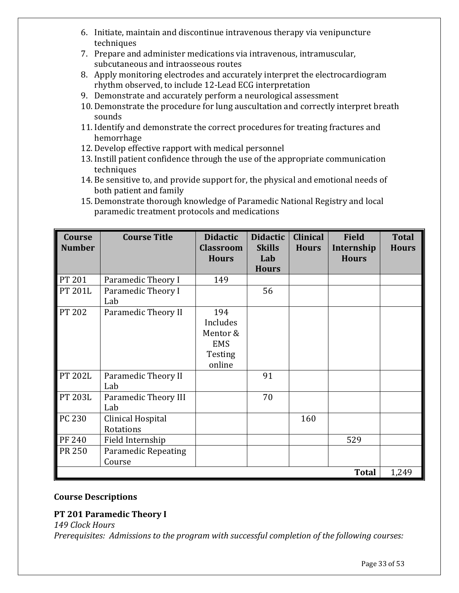- 6. Initiate, maintain and discontinue intravenous therapy via venipuncture techniques
- 7. Prepare and administer medications via intravenous, intramuscular, subcutaneous and intraosseous routes
- 8. Apply monitoring electrodes and accurately interpret the electrocardiogram rhythm observed, to include 12-Lead ECG interpretation
- 9. Demonstrate and accurately perform a neurological assessment
- 10. Demonstrate the procedure for lung auscultation and correctly interpret breath sounds
- 11. Identify and demonstrate the correct procedures for treating fractures and hemorrhage
- 12. Develop effective rapport with medical personnel
- 13. Instill patient confidence through the use of the appropriate communication techniques
- 14. Be sensitive to, and provide support for, the physical and emotional needs of both patient and family
- 15. Demonstrate thorough knowledge of Paramedic National Registry and local paramedic treatment protocols and medications

| <b>Course</b><br><b>Number</b> | <b>Course Title</b>                  | <b>Didactic</b><br><b>Classroom</b><br><b>Hours</b>            | <b>Didactic</b><br><b>Skills</b><br>Lab<br><b>Hours</b> | <b>Clinical</b><br><b>Hours</b> | <b>Field</b><br>Internship<br><b>Hours</b> | <b>Total</b><br><b>Hours</b> |
|--------------------------------|--------------------------------------|----------------------------------------------------------------|---------------------------------------------------------|---------------------------------|--------------------------------------------|------------------------------|
| PT 201                         | Paramedic Theory I                   | 149                                                            |                                                         |                                 |                                            |                              |
| <b>PT 201L</b>                 | Paramedic Theory I<br>Lab            |                                                                | 56                                                      |                                 |                                            |                              |
| PT 202                         | Paramedic Theory II                  | 194<br>Includes<br>Mentor &<br><b>EMS</b><br>Testing<br>online |                                                         |                                 |                                            |                              |
| <b>PT 202L</b>                 | Paramedic Theory II<br>Lab           |                                                                | 91                                                      |                                 |                                            |                              |
| <b>PT 203L</b>                 | Paramedic Theory III<br>Lab          |                                                                | 70                                                      |                                 |                                            |                              |
| PC 230                         | Clinical Hospital<br>Rotations       |                                                                |                                                         | 160                             |                                            |                              |
| <b>PF 240</b>                  | Field Internship                     |                                                                |                                                         |                                 | 529                                        |                              |
| <b>PR 250</b>                  | <b>Paramedic Repeating</b><br>Course |                                                                |                                                         |                                 |                                            |                              |
|                                |                                      |                                                                |                                                         |                                 | <b>Total</b>                               | 1,249                        |

## **Course Descriptions**

## **PT 201 Paramedic Theory I**

*149 Clock Hours Prerequisites: Admissions to the program with successful completion of the following courses:*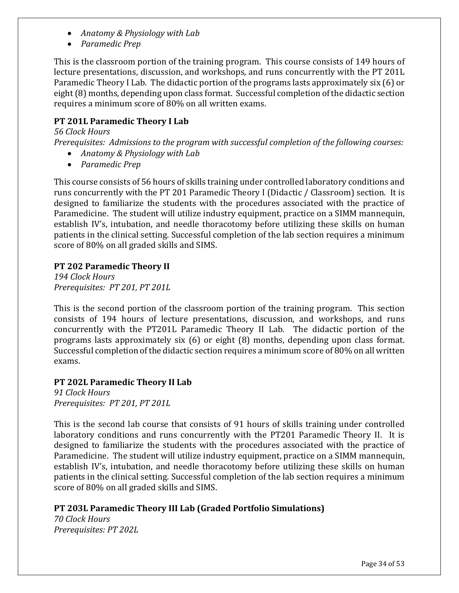- *Anatomy & Physiology with Lab*
- *Paramedic Prep*

This is the classroom portion of the training program. This course consists of 149 hours of lecture presentations, discussion, and workshops, and runs concurrently with the PT 201L Paramedic Theory I Lab. The didactic portion of the programs lasts approximately six (6) or eight (8) months, depending upon class format. Successful completion of the didactic section requires a minimum score of 80% on all written exams.

## **PT 201L Paramedic Theory I Lab**

#### *56 Clock Hours*

*Prerequisites: Admissions to the program with successful completion of the following courses:*

- *Anatomy & Physiology with Lab*
- *Paramedic Prep*

This course consists of 56 hours of skills training under controlled laboratory conditions and runs concurrently with the PT 201 Paramedic Theory I (Didactic / Classroom) section. It is designed to familiarize the students with the procedures associated with the practice of Paramedicine. The student will utilize industry equipment, practice on a SIMM mannequin, establish IV's, intubation, and needle thoracotomy before utilizing these skills on human patients in the clinical setting. Successful completion of the lab section requires a minimum score of 80% on all graded skills and SIMS.

#### **PT 202 Paramedic Theory II**

*194 Clock Hours Prerequisites: PT 201, PT 201L*

This is the second portion of the classroom portion of the training program. This section consists of 194 hours of lecture presentations, discussion, and workshops, and runs concurrently with the PT201L Paramedic Theory II Lab. The didactic portion of the programs lasts approximately six (6) or eight (8) months, depending upon class format. Successful completion of the didactic section requires a minimum score of 80% on all written exams.

## **PT 202L Paramedic Theory II Lab**

*91 Clock Hours Prerequisites: PT 201, PT 201L*

This is the second lab course that consists of 91 hours of skills training under controlled laboratory conditions and runs concurrently with the PT201 Paramedic Theory II. It is designed to familiarize the students with the procedures associated with the practice of Paramedicine. The student will utilize industry equipment, practice on a SIMM mannequin, establish IV's, intubation, and needle thoracotomy before utilizing these skills on human patients in the clinical setting. Successful completion of the lab section requires a minimum score of 80% on all graded skills and SIMS.

## **PT 203L Paramedic Theory III Lab (Graded Portfolio Simulations)**

*70 Clock Hours Prerequisites: PT 202L*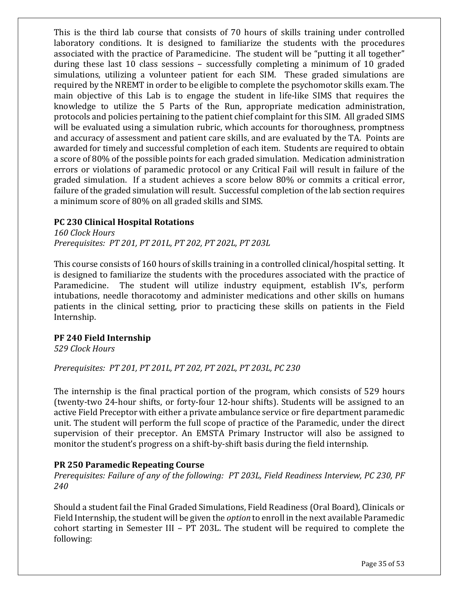This is the third lab course that consists of 70 hours of skills training under controlled laboratory conditions. It is designed to familiarize the students with the procedures associated with the practice of Paramedicine. The student will be "putting it all together" during these last 10 class sessions – successfully completing a minimum of 10 graded simulations, utilizing a volunteer patient for each SIM. These graded simulations are required by the NREMT in order to be eligible to complete the psychomotor skills exam. The main objective of this Lab is to engage the student in life-like SIMS that requires the knowledge to utilize the 5 Parts of the Run, appropriate medication administration, protocols and policies pertaining to the patient chief complaint for this SIM. All graded SIMS will be evaluated using a simulation rubric, which accounts for thoroughness, promptness and accuracy of assessment and patient care skills, and are evaluated by the TA. Points are awarded for timely and successful completion of each item. Students are required to obtain a score of 80% of the possible points for each graded simulation. Medication administration errors or violations of paramedic protocol or any Critical Fail will result in failure of the graded simulation. If a student achieves a score below 80% or commits a critical error, failure of the graded simulation will result. Successful completion of the lab section requires a minimum score of 80% on all graded skills and SIMS.

## **PC 230 Clinical Hospital Rotations**

*160 Clock Hours Prerequisites: PT 201, PT 201L, PT 202, PT 202L, PT 203L*

This course consists of 160 hours of skills training in a controlled clinical/hospital setting. It is designed to familiarize the students with the procedures associated with the practice of Paramedicine. The student will utilize industry equipment, establish IV's, perform intubations, needle thoracotomy and administer medications and other skills on humans patients in the clinical setting, prior to practicing these skills on patients in the Field Internship.

## **PF 240 Field Internship**

*529 Clock Hours*

*Prerequisites: PT 201, PT 201L, PT 202, PT 202L, PT 203L, PC 230*

The internship is the final practical portion of the program, which consists of 529 hours (twenty-two 24-hour shifts, or forty-four 12-hour shifts). Students will be assigned to an active Field Preceptor with either a private ambulance service or fire department paramedic unit. The student will perform the full scope of practice of the Paramedic, under the direct supervision of their preceptor. An EMSTA Primary Instructor will also be assigned to monitor the student's progress on a shift-by-shift basis during the field internship.

## **PR 250 Paramedic Repeating Course**

*Prerequisites: Failure of any of the following: PT 203L, Field Readiness Interview, PC 230, PF 240*

Should a student fail the Final Graded Simulations, Field Readiness (Oral Board), Clinicals or Field Internship, the student will be given the *option* to enroll in the next available Paramedic cohort starting in Semester III – PT 203L. The student will be required to complete the following: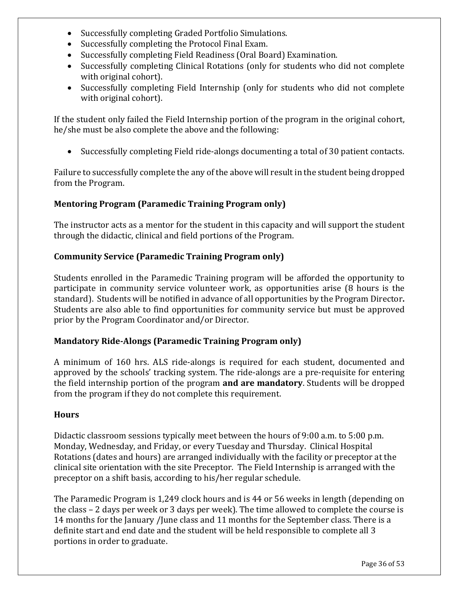- Successfully completing Graded Portfolio Simulations.
- Successfully completing the Protocol Final Exam.
- Successfully completing Field Readiness (Oral Board) Examination.
- Successfully completing Clinical Rotations (only for students who did not complete with original cohort).
- Successfully completing Field Internship (only for students who did not complete with original cohort).

If the student only failed the Field Internship portion of the program in the original cohort, he/she must be also complete the above and the following:

Successfully completing Field ride-alongs documenting a total of 30 patient contacts.

Failure to successfully complete the any of the above will result in the student being dropped from the Program.

## **Mentoring Program (Paramedic Training Program only)**

The instructor acts as a mentor for the student in this capacity and will support the student through the didactic, clinical and field portions of the Program.

## **Community Service (Paramedic Training Program only)**

Students enrolled in the Paramedic Training program will be afforded the opportunity to participate in community service volunteer work, as opportunities arise (8 hours is the standard). Students will be notified in advance of all opportunities by the Program Director**.** Students are also able to find opportunities for community service but must be approved prior by the Program Coordinator and/or Director.

## **Mandatory Ride‐Alongs (Paramedic Training Program only)**

A minimum of 160 hrs. ALS ride-alongs is required for each student, documented and approved by the schools' tracking system. The ride-alongs are a pre-requisite for entering the field internship portion of the program **and are mandatory**. Students will be dropped from the program if they do not complete this requirement.

## **Hours**

Didactic classroom sessions typically meet between the hours of 9:00 a.m. to 5:00 p.m. Monday, Wednesday, and Friday, or every Tuesday and Thursday. Clinical Hospital Rotations (dates and hours) are arranged individually with the facility or preceptor at the clinical site orientation with the site Preceptor. The Field Internship is arranged with the preceptor on a shift basis, according to his/her regular schedule.

The Paramedic Program is 1,249 clock hours and is 44 or 56 weeks in length (depending on the class – 2 days per week or 3 days per week). The time allowed to complete the course is 14 months for the January /June class and 11 months for the September class. There is a definite start and end date and the student will be held responsible to complete all 3 portions in order to graduate.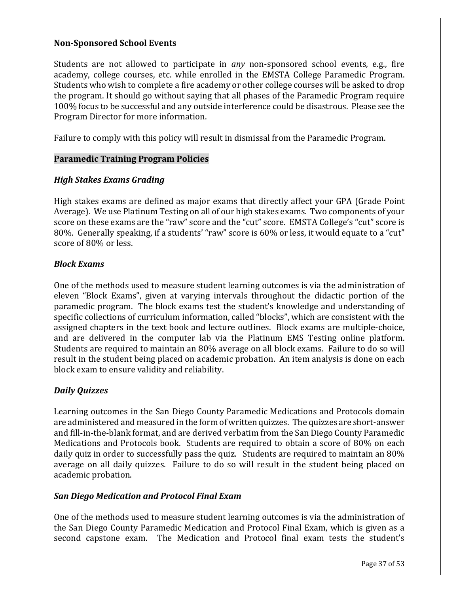#### **Non‐Sponsored School Events**

Students are not allowed to participate in *any* non-sponsored school events, e.g., fire academy, college courses, etc. while enrolled in the EMSTA College Paramedic Program. Students who wish to complete a fire academy or other college courses will be asked to drop the program. It should go without saying that all phases of the Paramedic Program require 100% focus to be successful and any outside interference could be disastrous. Please see the Program Director for more information.

Failure to comply with this policy will result in dismissal from the Paramedic Program.

#### **Paramedic Training Program Policies**

#### *High Stakes Exams Grading*

High stakes exams are defined as major exams that directly affect your GPA (Grade Point Average). We use Platinum Testing on all of our high stakes exams. Two components of your score on these exams are the "raw" score and the "cut" score. EMSTA College's "cut" score is 80%. Generally speaking, if a students' "raw" score is 60% or less, it would equate to a "cut" score of 80% or less.

#### *Block Exams*

One of the methods used to measure student learning outcomes is via the administration of eleven "Block Exams", given at varying intervals throughout the didactic portion of the paramedic program. The block exams test the student's knowledge and understanding of specific collections of curriculum information, called "blocks", which are consistent with the assigned chapters in the text book and lecture outlines. Block exams are multiple-choice, and are delivered in the computer lab via the Platinum EMS Testing online platform. Students are required to maintain an 80% average on all block exams. Failure to do so will result in the student being placed on academic probation. An item analysis is done on each block exam to ensure validity and reliability.

## *Daily Quizzes*

Learning outcomes in the San Diego County Paramedic Medications and Protocols domain are administered and measured in the form of written quizzes. The quizzes are short-answer and fill-in-the-blank format, and are derived verbatim from the San Diego County Paramedic Medications and Protocols book. Students are required to obtain a score of 80% on each daily quiz in order to successfully pass the quiz. Students are required to maintain an 80% average on all daily quizzes. Failure to do so will result in the student being placed on academic probation.

## *San Diego Medication and Protocol Final Exam*

One of the methods used to measure student learning outcomes is via the administration of the San Diego County Paramedic Medication and Protocol Final Exam, which is given as a second capstone exam. The Medication and Protocol final exam tests the student's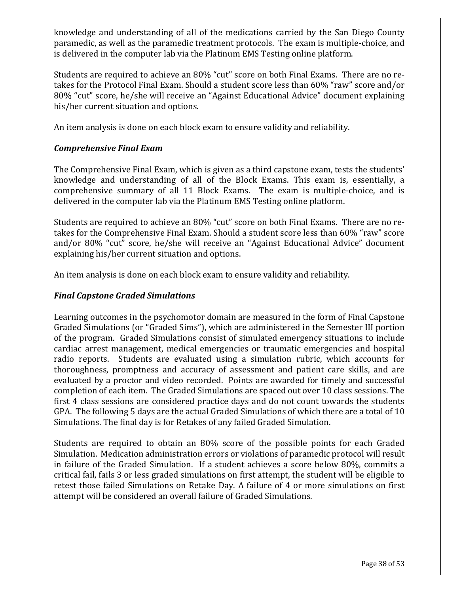knowledge and understanding of all of the medications carried by the San Diego County paramedic, as well as the paramedic treatment protocols. The exam is multiple-choice, and is delivered in the computer lab via the Platinum EMS Testing online platform.

Students are required to achieve an 80% "cut" score on both Final Exams. There are no retakes for the Protocol Final Exam. Should a student score less than 60% "raw" score and/or 80% "cut" score, he/she will receive an "Against Educational Advice" document explaining his/her current situation and options.

An item analysis is done on each block exam to ensure validity and reliability.

## *Comprehensive Final Exam*

The Comprehensive Final Exam, which is given as a third capstone exam, tests the students' knowledge and understanding of all of the Block Exams. This exam is, essentially, a comprehensive summary of all 11 Block Exams. The exam is multiple-choice, and is delivered in the computer lab via the Platinum EMS Testing online platform.

Students are required to achieve an 80% "cut" score on both Final Exams. There are no retakes for the Comprehensive Final Exam. Should a student score less than 60% "raw" score and/or 80% "cut" score, he/she will receive an "Against Educational Advice" document explaining his/her current situation and options.

An item analysis is done on each block exam to ensure validity and reliability.

## *Final Capstone Graded Simulations*

Learning outcomes in the psychomotor domain are measured in the form of Final Capstone Graded Simulations (or "Graded Sims"), which are administered in the Semester III portion of the program. Graded Simulations consist of simulated emergency situations to include cardiac arrest management, medical emergencies or traumatic emergencies and hospital radio reports. Students are evaluated using a simulation rubric, which accounts for thoroughness, promptness and accuracy of assessment and patient care skills, and are evaluated by a proctor and video recorded. Points are awarded for timely and successful completion of each item. The Graded Simulations are spaced out over 10 class sessions. The first 4 class sessions are considered practice days and do not count towards the students GPA. The following 5 days are the actual Graded Simulations of which there are a total of 10 Simulations. The final day is for Retakes of any failed Graded Simulation.

Students are required to obtain an 80% score of the possible points for each Graded Simulation. Medication administration errors or violations of paramedic protocol will result in failure of the Graded Simulation. If a student achieves a score below 80%, commits a critical fail, fails 3 or less graded simulations on first attempt, the student will be eligible to retest those failed Simulations on Retake Day. A failure of 4 or more simulations on first attempt will be considered an overall failure of Graded Simulations.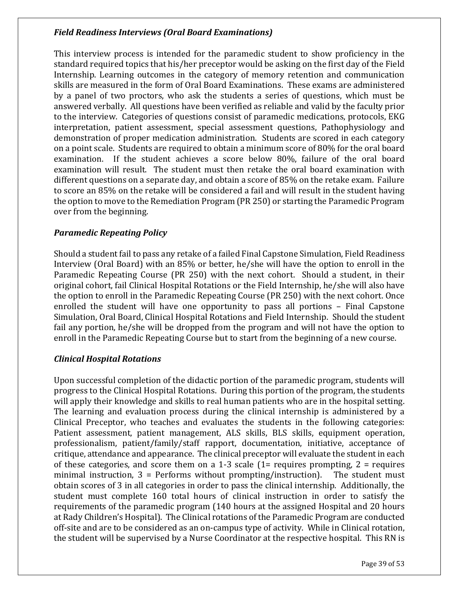## *Field Readiness Interviews (Oral Board Examinations)*

This interview process is intended for the paramedic student to show proficiency in the standard required topics that his/her preceptor would be asking on the first day of the Field Internship. Learning outcomes in the category of memory retention and communication skills are measured in the form of Oral Board Examinations. These exams are administered by a panel of two proctors, who ask the students a series of questions, which must be answered verbally. All questions have been verified as reliable and valid by the faculty prior to the interview. Categories of questions consist of paramedic medications, protocols, EKG interpretation, patient assessment, special assessment questions, Pathophysiology and demonstration of proper medication administration. Students are scored in each category on a point scale. Students are required to obtain a minimum score of 80% for the oral board examination. If the student achieves a score below 80%, failure of the oral board examination will result. The student must then retake the oral board examination with different questions on a separate day, and obtain a score of 85% on the retake exam. Failure to score an 85% on the retake will be considered a fail and will result in the student having the option to move to the Remediation Program (PR 250) or starting the Paramedic Program over from the beginning.

## *Paramedic Repeating Policy*

Should a student fail to pass any retake of a failed Final Capstone Simulation, Field Readiness Interview (Oral Board) with an 85% or better, he/she will have the option to enroll in the Paramedic Repeating Course (PR 250) with the next cohort. Should a student, in their original cohort, fail Clinical Hospital Rotations or the Field Internship, he/she will also have the option to enroll in the Paramedic Repeating Course (PR 250) with the next cohort. Once enrolled the student will have one opportunity to pass all portions – Final Capstone Simulation, Oral Board, Clinical Hospital Rotations and Field Internship. Should the student fail any portion, he/she will be dropped from the program and will not have the option to enroll in the Paramedic Repeating Course but to start from the beginning of a new course.

## *Clinical Hospital Rotations*

Upon successful completion of the didactic portion of the paramedic program, students will progress to the Clinical Hospital Rotations. During this portion of the program, the students will apply their knowledge and skills to real human patients who are in the hospital setting. The learning and evaluation process during the clinical internship is administered by a Clinical Preceptor, who teaches and evaluates the students in the following categories: Patient assessment, patient management, ALS skills, BLS skills, equipment operation, professionalism, patient/family/staff rapport, documentation, initiative, acceptance of critique, attendance and appearance. The clinical preceptor will evaluate the student in each of these categories, and score them on a 1-3 scale  $(1=$  requires prompting,  $2=$  requires minimal instruction, 3 = Performs without prompting/instruction). The student must obtain scores of 3 in all categories in order to pass the clinical internship. Additionally, the student must complete 160 total hours of clinical instruction in order to satisfy the requirements of the paramedic program (140 hours at the assigned Hospital and 20 hours at Rady Children's Hospital). The Clinical rotations of the Paramedic Program are conducted off-site and are to be considered as an on-campus type of activity. While in Clinical rotation, the student will be supervised by a Nurse Coordinator at the respective hospital. This RN is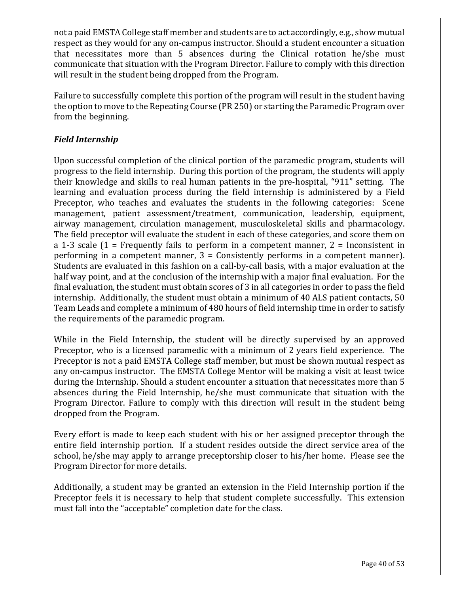not a paid EMSTA College staff member and students are to act accordingly, e.g., show mutual respect as they would for any on-campus instructor. Should a student encounter a situation that necessitates more than 5 absences during the Clinical rotation he/she must communicate that situation with the Program Director. Failure to comply with this direction will result in the student being dropped from the Program.

Failure to successfully complete this portion of the program will result in the student having the option to move to the Repeating Course (PR 250) or starting the Paramedic Program over from the beginning.

## *Field Internship*

Upon successful completion of the clinical portion of the paramedic program, students will progress to the field internship. During this portion of the program, the students will apply their knowledge and skills to real human patients in the pre-hospital, "911" setting. The learning and evaluation process during the field internship is administered by a Field Preceptor, who teaches and evaluates the students in the following categories: Scene management, patient assessment/treatment, communication, leadership, equipment, airway management, circulation management, musculoskeletal skills and pharmacology. The field preceptor will evaluate the student in each of these categories, and score them on a 1-3 scale  $(1$  = Frequently fails to perform in a competent manner,  $2$  = Inconsistent in performing in a competent manner, 3 = Consistently performs in a competent manner). Students are evaluated in this fashion on a call-by-call basis, with a major evaluation at the half way point, and at the conclusion of the internship with a major final evaluation. For the final evaluation, the student must obtain scores of 3 in all categories in order to pass the field internship. Additionally, the student must obtain a minimum of 40 ALS patient contacts, 50 Team Leads and complete a minimum of 480 hours of field internship time in order to satisfy the requirements of the paramedic program.

While in the Field Internship, the student will be directly supervised by an approved Preceptor, who is a licensed paramedic with a minimum of 2 years field experience. The Preceptor is not a paid EMSTA College staff member, but must be shown mutual respect as any on-campus instructor. The EMSTA College Mentor will be making a visit at least twice during the Internship. Should a student encounter a situation that necessitates more than 5 absences during the Field Internship, he/she must communicate that situation with the Program Director. Failure to comply with this direction will result in the student being dropped from the Program.

Every effort is made to keep each student with his or her assigned preceptor through the entire field internship portion. If a student resides outside the direct service area of the school, he/she may apply to arrange preceptorship closer to his/her home. Please see the Program Director for more details.

Additionally, a student may be granted an extension in the Field Internship portion if the Preceptor feels it is necessary to help that student complete successfully. This extension must fall into the "acceptable" completion date for the class.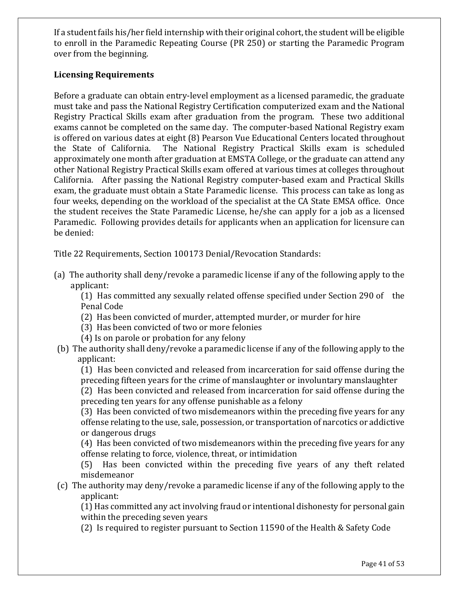If a student fails his/her field internship with their original cohort, the student will be eligible to enroll in the Paramedic Repeating Course (PR 250) or starting the Paramedic Program over from the beginning.

## **Licensing Requirements**

Before a graduate can obtain entry-level employment as a licensed paramedic, the graduate must take and pass the National Registry Certification computerized exam and the National Registry Practical Skills exam after graduation from the program. These two additional exams cannot be completed on the same day. The computer-based National Registry exam is offered on various dates at eight (8) Pearson Vue Educational Centers located throughout the State of California. The National Registry Practical Skills exam is scheduled approximately one month after graduation at EMSTA College, or the graduate can attend any other National Registry Practical Skills exam offered at various times at colleges throughout California. After passing the National Registry computer-based exam and Practical Skills exam, the graduate must obtain a State Paramedic license. This process can take as long as four weeks, depending on the workload of the specialist at the CA State EMSA office. Once the student receives the State Paramedic License, he/she can apply for a job as a licensed Paramedic. Following provides details for applicants when an application for licensure can be denied:

Title 22 Requirements, Section 100173 Denial/Revocation Standards:

(a) The authority shall deny/revoke a paramedic license if any of the following apply to the applicant:

(1) Has committed any sexually related offense specified under Section 290 of the Penal Code

- (2) Has been convicted of murder, attempted murder, or murder for hire
- (3) Has been convicted of two or more felonies
- (4) Is on parole or probation for any felony
- (b) The authority shall deny/revoke a paramedic license if any of the following apply to the applicant:

(1) Has been convicted and released from incarceration for said offense during the preceding fifteen years for the crime of manslaughter or involuntary manslaughter

(2) Has been convicted and released from incarceration for said offense during the preceding ten years for any offense punishable as a felony

(3) Has been convicted of two misdemeanors within the preceding five years for any offense relating to the use, sale, possession, or transportation of narcotics or addictive or dangerous drugs

(4) Has been convicted of two misdemeanors within the preceding five years for any offense relating to force, violence, threat, or intimidation

(5) Has been convicted within the preceding five years of any theft related misdemeanor

(c) The authority may deny/revoke a paramedic license if any of the following apply to the applicant:

 (1) Has committed any act involving fraud or intentional dishonesty for personal gain within the preceding seven years

(2) Is required to register pursuant to Section 11590 of the Health & Safety Code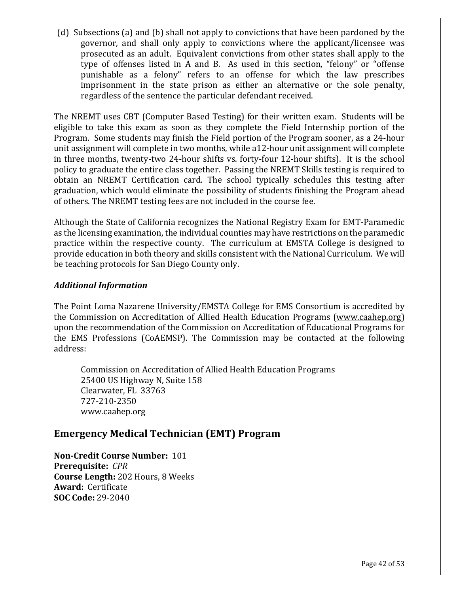(d) Subsections (a) and (b) shall not apply to convictions that have been pardoned by the governor, and shall only apply to convictions where the applicant/licensee was prosecuted as an adult. Equivalent convictions from other states shall apply to the type of offenses listed in A and B. As used in this section, "felony" or "offense punishable as a felony" refers to an offense for which the law prescribes imprisonment in the state prison as either an alternative or the sole penalty, regardless of the sentence the particular defendant received.

The NREMT uses CBT (Computer Based Testing) for their written exam. Students will be eligible to take this exam as soon as they complete the Field Internship portion of the Program. Some students may finish the Field portion of the Program sooner, as a 24-hour unit assignment will complete in two months, while a12-hour unit assignment will complete in three months, twenty-two 24-hour shifts vs. forty-four 12-hour shifts). It is the school policy to graduate the entire class together. Passing the NREMT Skills testing is required to obtain an NREMT Certification card. The school typically schedules this testing after graduation, which would eliminate the possibility of students finishing the Program ahead of others. The NREMT testing fees are not included in the course fee.

Although the State of California recognizes the National Registry Exam for EMT-Paramedic as the licensing examination, the individual counties may have restrictions on the paramedic practice within the respective county. The curriculum at EMSTA College is designed to provide education in both theory and skills consistent with the National Curriculum. We will be teaching protocols for San Diego County only.

## *Additional Information*

The Point Loma Nazarene University/EMSTA College for EMS Consortium is accredited by the Commission on Accreditation of Allied Health Education Programs (www.caahep.org) upon the recommendation of the Commission on Accreditation of Educational Programs for the EMS Professions (CoAEMSP). The Commission may be contacted at the following address:

Commission on Accreditation of Allied Health Education Programs 25400 US Highway N, Suite 158 Clearwater, FL 33763 727-210-2350 www.caahep.org

## **Emergency Medical Technician (EMT) Program**

**Non‐Credit Course Number:** 101 **Prerequisite:** *CPR*  **Course Length:** 202 Hours, 8 Weeks **Award:** Certificate **SOC Code:** 29-2040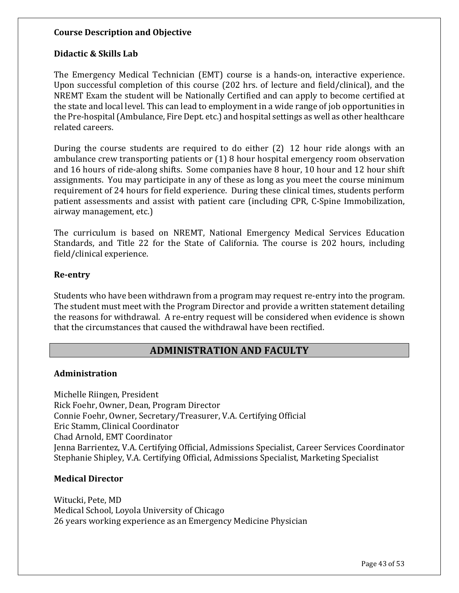#### **Course Description and Objective**

#### **Didactic & Skills Lab**

The Emergency Medical Technician (EMT) course is a hands-on, interactive experience. Upon successful completion of this course (202 hrs. of lecture and field/clinical), and the NREMT Exam the student will be Nationally Certified and can apply to become certified at the state and local level. This can lead to employment in a wide range of job opportunities in the Pre-hospital (Ambulance, Fire Dept. etc.) and hospital settings as well as other healthcare related careers.

During the course students are required to do either (2) 12 hour ride alongs with an ambulance crew transporting patients or (1) 8 hour hospital emergency room observation and 16 hours of ride-along shifts. Some companies have 8 hour, 10 hour and 12 hour shift assignments. You may participate in any of these as long as you meet the course minimum requirement of 24 hours for field experience. During these clinical times, students perform patient assessments and assist with patient care (including CPR, C-Spine Immobilization, airway management, etc.)

The curriculum is based on NREMT, National Emergency Medical Services Education Standards, and Title 22 for the State of California. The course is 202 hours, including field/clinical experience.

#### **Re‐entry**

Students who have been withdrawn from a program may request re-entry into the program. The student must meet with the Program Director and provide a written statement detailing the reasons for withdrawal. A re-entry request will be considered when evidence is shown that the circumstances that caused the withdrawal have been rectified.

## **ADMINISTRATION AND FACULTY**

#### **Administration**

Michelle Riingen, President Rick Foehr, Owner, Dean, Program Director Connie Foehr, Owner, Secretary/Treasurer, V.A. Certifying Official Eric Stamm, Clinical Coordinator Chad Arnold, EMT Coordinator Jenna Barrientez, V.A. Certifying Official, Admissions Specialist, Career Services Coordinator Stephanie Shipley, V.A. Certifying Official, Admissions Specialist, Marketing Specialist

#### **Medical Director**

Witucki, Pete, MD Medical School, Loyola University of Chicago 26 years working experience as an Emergency Medicine Physician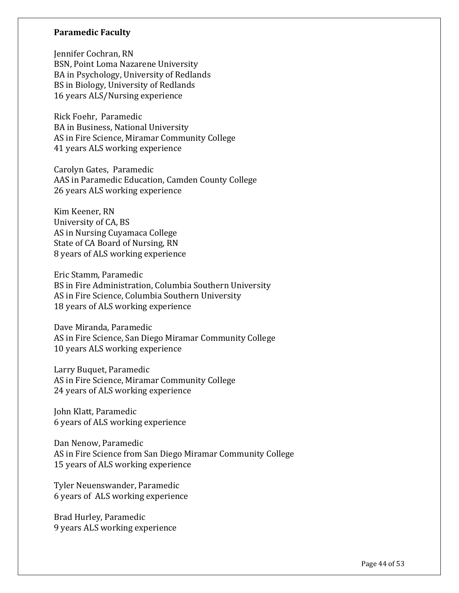#### **Paramedic Faculty**

Jennifer Cochran, RN BSN, Point Loma Nazarene University BA in Psychology, University of Redlands BS in Biology, University of Redlands 16 years ALS/Nursing experience

Rick Foehr, Paramedic BA in Business, National University AS in Fire Science, Miramar Community College 41 years ALS working experience

Carolyn Gates, Paramedic AAS in Paramedic Education, Camden County College 26 years ALS working experience

Kim Keener, RN University of CA, BS AS in Nursing Cuyamaca College State of CA Board of Nursing, RN 8 years of ALS working experience

Eric Stamm, Paramedic BS in Fire Administration, Columbia Southern University AS in Fire Science, Columbia Southern University 18 years of ALS working experience

Dave Miranda, Paramedic AS in Fire Science, San Diego Miramar Community College 10 years ALS working experience

Larry Buquet, Paramedic AS in Fire Science, Miramar Community College 24 years of ALS working experience

John Klatt, Paramedic 6 years of ALS working experience

Dan Nenow, Paramedic AS in Fire Science from San Diego Miramar Community College 15 years of ALS working experience

Tyler Neuenswander, Paramedic 6 years of ALS working experience

Brad Hurley, Paramedic 9 years ALS working experience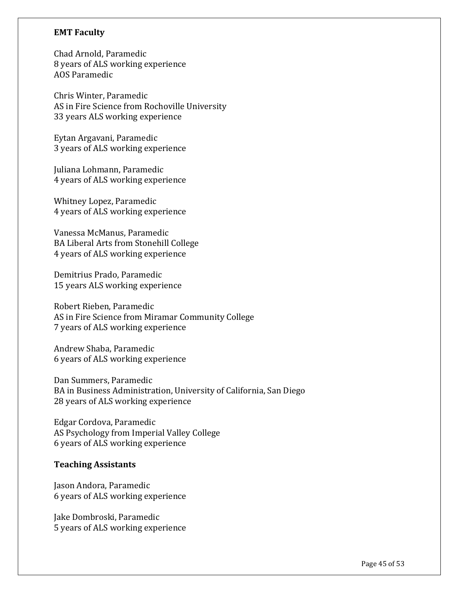#### **EMT Faculty**

Chad Arnold, Paramedic 8 years of ALS working experience AOS Paramedic

Chris Winter, Paramedic AS in Fire Science from Rochoville University 33 years ALS working experience

Eytan Argavani, Paramedic 3 years of ALS working experience

Juliana Lohmann, Paramedic 4 years of ALS working experience

Whitney Lopez, Paramedic 4 years of ALS working experience

Vanessa McManus, Paramedic BA Liberal Arts from Stonehill College 4 years of ALS working experience

Demitrius Prado, Paramedic 15 years ALS working experience

Robert Rieben, Paramedic AS in Fire Science from Miramar Community College 7 years of ALS working experience

Andrew Shaba, Paramedic 6 years of ALS working experience

Dan Summers, Paramedic BA in Business Administration, University of California, San Diego 28 years of ALS working experience

Edgar Cordova, Paramedic AS Psychology from Imperial Valley College 6 years of ALS working experience

#### **Teaching Assistants**

Jason Andora, Paramedic 6 years of ALS working experience

Jake Dombroski, Paramedic 5 years of ALS working experience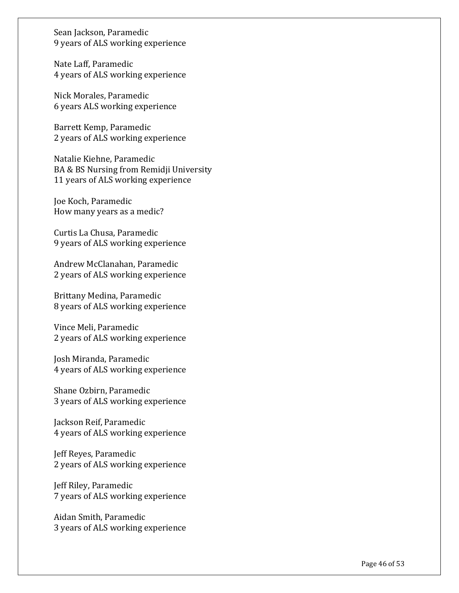Sean Jackson, Paramedic 9 years of ALS working experience

Nate Laff, Paramedic 4 years of ALS working experience

Nick Morales, Paramedic 6 years ALS working experience

Barrett Kemp, Paramedic 2 years of ALS working experience

Natalie Kiehne, Paramedic BA & BS Nursing from Remidji University 11 years of ALS working experience

Joe Koch, Paramedic How many years as a medic?

Curtis La Chusa, Paramedic 9 years of ALS working experience

Andrew McClanahan, Paramedic 2 years of ALS working experience

Brittany Medina, Paramedic 8 years of ALS working experience

Vince Meli, Paramedic 2 years of ALS working experience

Josh Miranda, Paramedic 4 years of ALS working experience

Shane Ozbirn, Paramedic 3 years of ALS working experience

Jackson Reif, Paramedic 4 years of ALS working experience

Jeff Reyes, Paramedic 2 years of ALS working experience

Jeff Riley, Paramedic 7 years of ALS working experience

Aidan Smith, Paramedic 3 years of ALS working experience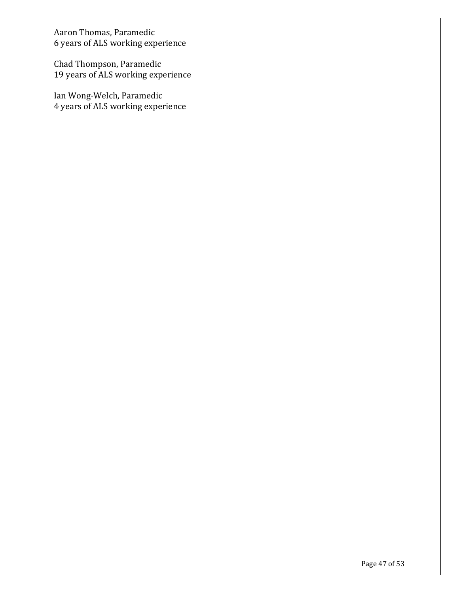Aaron Thomas, Paramedic 6 years of ALS working experience

Chad Thompson, Paramedic 19 years of ALS working experience

Ian Wong-Welch, Paramedic 4 years of ALS working experience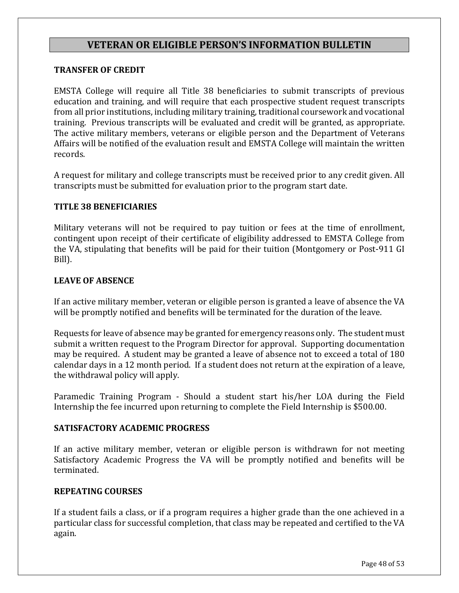## **VETERAN OR ELIGIBLE PERSON'S INFORMATION BULLETIN**

#### **TRANSFER OF CREDIT**

EMSTA College will require all Title 38 beneficiaries to submit transcripts of previous education and training, and will require that each prospective student request transcripts from all prior institutions, including military training, traditional coursework and vocational training. Previous transcripts will be evaluated and credit will be granted, as appropriate. The active military members, veterans or eligible person and the Department of Veterans Affairs will be notified of the evaluation result and EMSTA College will maintain the written records.

A request for military and college transcripts must be received prior to any credit given. All transcripts must be submitted for evaluation prior to the program start date.

#### **TITLE 38 BENEFICIARIES**

Military veterans will not be required to pay tuition or fees at the time of enrollment, contingent upon receipt of their certificate of eligibility addressed to EMSTA College from the VA, stipulating that benefits will be paid for their tuition (Montgomery or Post-911 GI Bill).

#### **LEAVE OF ABSENCE**

If an active military member, veteran or eligible person is granted a leave of absence the VA will be promptly notified and benefits will be terminated for the duration of the leave.

Requests for leave of absence may be granted for emergency reasons only. The student must submit a written request to the Program Director for approval. Supporting documentation may be required. A student may be granted a leave of absence not to exceed a total of 180 calendar days in a 12 month period. If a student does not return at the expiration of a leave, the withdrawal policy will apply.

Paramedic Training Program - Should a student start his/her LOA during the Field Internship the fee incurred upon returning to complete the Field Internship is \$500.00.

#### **SATISFACTORY ACADEMIC PROGRESS**

If an active military member, veteran or eligible person is withdrawn for not meeting Satisfactory Academic Progress the VA will be promptly notified and benefits will be terminated.

#### **REPEATING COURSES**

If a student fails a class, or if a program requires a higher grade than the one achieved in a particular class for successful completion, that class may be repeated and certified to the VA again.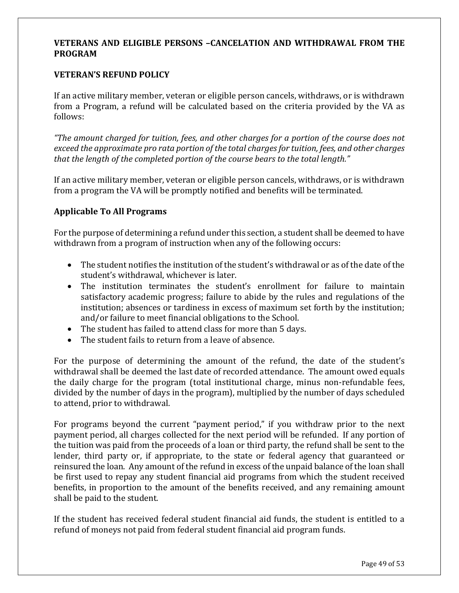#### **VETERANS AND ELIGIBLE PERSONS –CANCELATION AND WITHDRAWAL FROM THE PROGRAM**

#### **VETERAN'S REFUND POLICY**

If an active military member, veteran or eligible person cancels, withdraws, or is withdrawn from a Program, a refund will be calculated based on the criteria provided by the VA as follows:

*"The amount charged for tuition, fees, and other charges for a portion of the course does not exceed the approximate pro rata portion of the total chargesfor tuition, fees, and other charges that the length of the completed portion of the course bears to the total length."*

If an active military member, veteran or eligible person cancels, withdraws, or is withdrawn from a program the VA will be promptly notified and benefits will be terminated.

#### **Applicable To All Programs**

For the purpose of determining a refund under this section, a student shall be deemed to have withdrawn from a program of instruction when any of the following occurs:

- The student notifies the institution of the student's withdrawal or as of the date of the student's withdrawal, whichever is later.
- The institution terminates the student's enrollment for failure to maintain satisfactory academic progress; failure to abide by the rules and regulations of the institution; absences or tardiness in excess of maximum set forth by the institution; and/or failure to meet financial obligations to the School.
- The student has failed to attend class for more than 5 days.
- The student fails to return from a leave of absence.

For the purpose of determining the amount of the refund, the date of the student's withdrawal shall be deemed the last date of recorded attendance. The amount owed equals the daily charge for the program (total institutional charge, minus non-refundable fees, divided by the number of days in the program), multiplied by the number of days scheduled to attend, prior to withdrawal.

For programs beyond the current "payment period," if you withdraw prior to the next payment period, all charges collected for the next period will be refunded.If any portion of the tuition was paid from the proceeds of a loan or third party, the refund shall be sent to the lender, third party or, if appropriate, to the state or federal agency that guaranteed or reinsured the loan. Any amount of the refund in excess of the unpaid balance of the loan shall be first used to repay any student financial aid programs from which the student received benefits, in proportion to the amount of the benefits received, and any remaining amount shall be paid to the student.

If the student has received federal student financial aid funds, the student is entitled to a refund of moneys not paid from federal student financial aid program funds.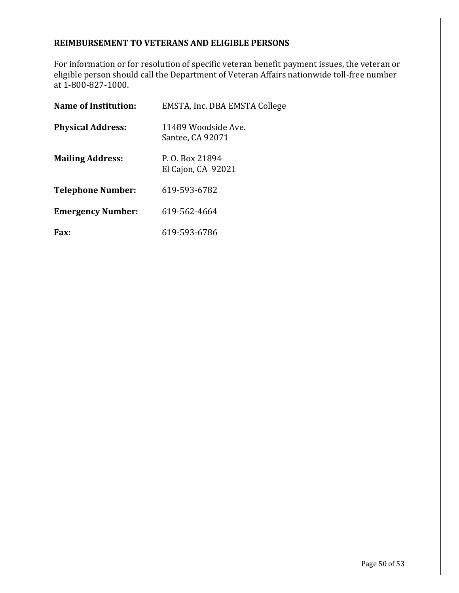## **REIMBURSEMENT TO VETERANS AND ELIGIBLE PERSONS**

For information or for resolution of specific veteran benefit payment issues, the veteran or eligible person should call the Department of Veteran Affairs nationwide toll-free number at 1-800-827-1000.

| <b>Name of Institution:</b> | EMSTA, Inc. DBA EMSTA College           |
|-----------------------------|-----------------------------------------|
| <b>Physical Address:</b>    | 11489 Woodside Ave.<br>Santee, CA 92071 |
| <b>Mailing Address:</b>     | P. O. Box 21894<br>El Cajon, CA 92021   |
| <b>Telephone Number:</b>    | 619-593-6782                            |
| <b>Emergency Number:</b>    | 619-562-4664                            |
| Fax:                        | 619-593-6786                            |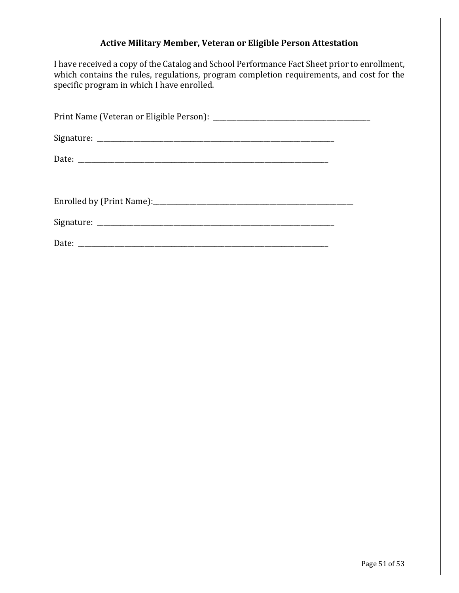## **Active Military Member, Veteran or Eligible Person Attestation**

I have received a copy of the Catalog and School Performance Fact Sheet prior to enrollment, which contains the rules, regulations, program completion requirements, and cost for the specific program in which I have enrolled.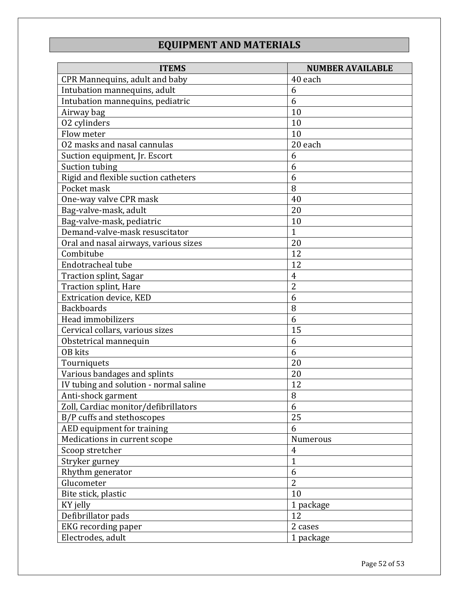# **EQUIPMENT AND MATERIALS**

| <b>ITEMS</b>                           | <b>NUMBER AVAILABLE</b> |
|----------------------------------------|-------------------------|
| CPR Mannequins, adult and baby         | 40 each                 |
| Intubation mannequins, adult           | 6                       |
| Intubation mannequins, pediatric       | 6                       |
| Airway bag                             | 10                      |
| 02 cylinders                           | 10                      |
| Flow meter                             | 10                      |
| 02 masks and nasal cannulas            | 20 each                 |
| Suction equipment, Jr. Escort          | 6                       |
| Suction tubing                         | 6                       |
| Rigid and flexible suction catheters   | 6                       |
| Pocket mask                            | 8                       |
| One-way valve CPR mask                 | 40                      |
| Bag-valve-mask, adult                  | 20                      |
| Bag-valve-mask, pediatric              | 10                      |
| Demand-valve-mask resuscitator         | $\mathbf{1}$            |
| Oral and nasal airways, various sizes  | 20                      |
| Combitube                              | 12                      |
| Endotracheal tube                      | 12                      |
| <b>Traction splint, Sagar</b>          | $\overline{4}$          |
| Traction splint, Hare                  | $\overline{2}$          |
| Extrication device, KED                | 6                       |
| <b>Backboards</b>                      | 8                       |
| Head immobilizers                      | 6                       |
| Cervical collars, various sizes        | 15                      |
| Obstetrical mannequin                  | 6                       |
| <b>OB</b> kits                         | 6                       |
| Tourniquets                            | 20                      |
| Various bandages and splints           | 20                      |
| IV tubing and solution - normal saline | 12                      |
| Anti-shock garment                     | 8                       |
| Zoll, Cardiac monitor/defibrillators   | 6                       |
| B/P cuffs and stethoscopes             | 25                      |
| AED equipment for training             | 6                       |
| Medications in current scope           | Numerous                |
| Scoop stretcher                        | 4                       |
| Stryker gurney                         | $\mathbf{1}$            |
| Rhythm generator                       | 6                       |
| Glucometer                             | $\overline{2}$          |
| Bite stick, plastic                    | 10                      |
| KY jelly                               | 1 package               |
| Defibrillator pads                     | 12                      |
| <b>EKG</b> recording paper             | 2 cases                 |
| Electrodes, adult                      | 1 package               |

11